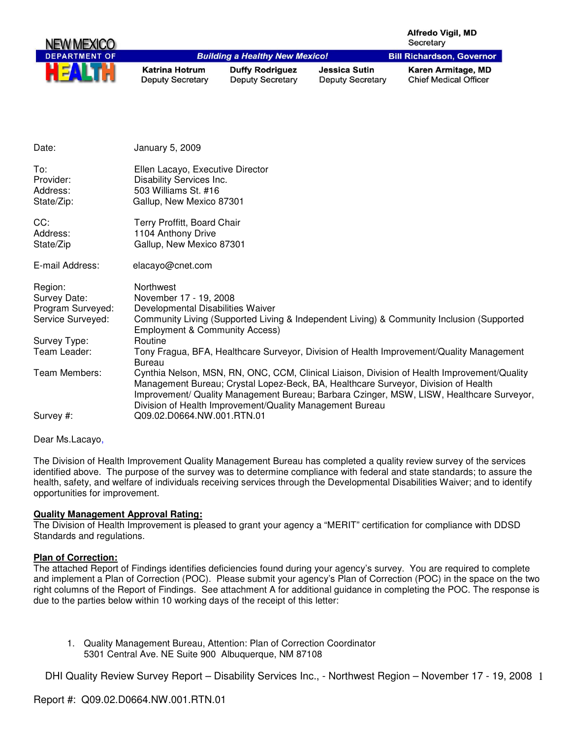|                                                                   |                                                                                                                       |                                                          |                                                 | <b>Alfredo Vigil, MD</b><br>Secretary                                                                                                                                                                                                                                         |
|-------------------------------------------------------------------|-----------------------------------------------------------------------------------------------------------------------|----------------------------------------------------------|-------------------------------------------------|-------------------------------------------------------------------------------------------------------------------------------------------------------------------------------------------------------------------------------------------------------------------------------|
|                                                                   |                                                                                                                       | <b>Building a Healthy New Mexico!</b>                    |                                                 | <b>Bill Richardson, Governor</b>                                                                                                                                                                                                                                              |
|                                                                   | <b>Katrina Hotrum</b><br><b>Deputy Secretary</b>                                                                      | <b>Duffy Rodriguez</b><br><b>Deputy Secretary</b>        | <b>Jessica Sutin</b><br><b>Deputy Secretary</b> | Karen Armitage, MD<br><b>Chief Medical Officer</b>                                                                                                                                                                                                                            |
|                                                                   |                                                                                                                       |                                                          |                                                 |                                                                                                                                                                                                                                                                               |
| Date:                                                             | <b>January 5, 2009</b>                                                                                                |                                                          |                                                 |                                                                                                                                                                                                                                                                               |
| To:<br>Provider:<br>Address:<br>State/Zip:                        | Ellen Lacayo, Executive Director<br>Disability Services Inc.<br>503 Williams St. #16<br>Gallup, New Mexico 87301      |                                                          |                                                 |                                                                                                                                                                                                                                                                               |
| CC:<br>Address:<br>State/Zip                                      | Terry Proffitt, Board Chair<br>1104 Anthony Drive<br>Gallup, New Mexico 87301                                         |                                                          |                                                 |                                                                                                                                                                                                                                                                               |
| E-mail Address:                                                   | elacayo@cnet.com                                                                                                      |                                                          |                                                 |                                                                                                                                                                                                                                                                               |
| Region:<br>Survey Date:<br>Program Surveyed:<br>Service Surveyed: | Northwest<br>November 17 - 19, 2008<br>Developmental Disabilities Waiver<br><b>Employment &amp; Community Access)</b> |                                                          |                                                 | Community Living (Supported Living & Independent Living) & Community Inclusion (Supported                                                                                                                                                                                     |
| Survey Type:<br>Team Leader:                                      | Routine<br><b>Bureau</b>                                                                                              |                                                          |                                                 | Tony Fragua, BFA, Healthcare Surveyor, Division of Health Improvement/Quality Management                                                                                                                                                                                      |
| Team Members:                                                     |                                                                                                                       | Division of Health Improvement/Quality Management Bureau |                                                 | Cynthia Nelson, MSN, RN, ONC, CCM, Clinical Liaison, Division of Health Improvement/Quality<br>Management Bureau; Crystal Lopez-Beck, BA, Healthcare Surveyor, Division of Health<br>Improvement/ Quality Management Bureau; Barbara Czinger, MSW, LISW, Healthcare Surveyor, |
| Survey #:                                                         | Q09.02.D0664.NW.001.RTN.01                                                                                            |                                                          |                                                 |                                                                                                                                                                                                                                                                               |

Dear Ms.Lacayo,

The Division of Health Improvement Quality Management Bureau has completed a quality review survey of the services identified above. The purpose of the survey was to determine compliance with federal and state standards; to assure the health, safety, and welfare of individuals receiving services through the Developmental Disabilities Waiver; and to identify opportunities for improvement.

### **Quality Management Approval Rating:**

The Division of Health Improvement is pleased to grant your agency a "MERIT" certification for compliance with DDSD Standards and regulations.

### **Plan of Correction:**

The attached Report of Findings identifies deficiencies found during your agency's survey. You are required to complete and implement a Plan of Correction (POC). Please submit your agency's Plan of Correction (POC) in the space on the two right columns of the Report of Findings. See attachment A for additional guidance in completing the POC. The response is due to the parties below within 10 working days of the receipt of this letter:

1. Quality Management Bureau, Attention: Plan of Correction Coordinator 5301 Central Ave. NE Suite 900 Albuquerque, NM 87108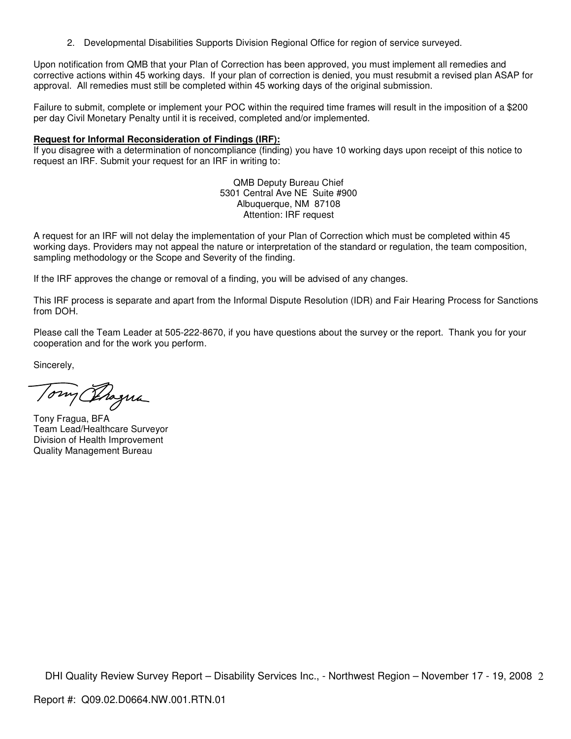2. Developmental Disabilities Supports Division Regional Office for region of service surveyed.

Upon notification from QMB that your Plan of Correction has been approved, you must implement all remedies and corrective actions within 45 working days. If your plan of correction is denied, you must resubmit a revised plan ASAP for approval. All remedies must still be completed within 45 working days of the original submission.

Failure to submit, complete or implement your POC within the required time frames will result in the imposition of a \$200 per day Civil Monetary Penalty until it is received, completed and/or implemented.

### **Request for Informal Reconsideration of Findings (IRF):**

If you disagree with a determination of noncompliance (finding) you have 10 working days upon receipt of this notice to request an IRF. Submit your request for an IRF in writing to:

> QMB Deputy Bureau Chief 5301 Central Ave NE Suite #900 Albuquerque, NM 87108 Attention: IRF request

A request for an IRF will not delay the implementation of your Plan of Correction which must be completed within 45 working days. Providers may not appeal the nature or interpretation of the standard or regulation, the team composition, sampling methodology or the Scope and Severity of the finding.

If the IRF approves the change or removal of a finding, you will be advised of any changes.

This IRF process is separate and apart from the Informal Dispute Resolution (IDR) and Fair Hearing Process for Sanctions from DOH.

Please call the Team Leader at 505-222-8670, if you have questions about the survey or the report. Thank you for your cooperation and for the work you perform.

Sincerely,

Tomy Progna

Tony Fragua, BFA Team Lead/Healthcare Surveyor Division of Health Improvement Quality Management Bureau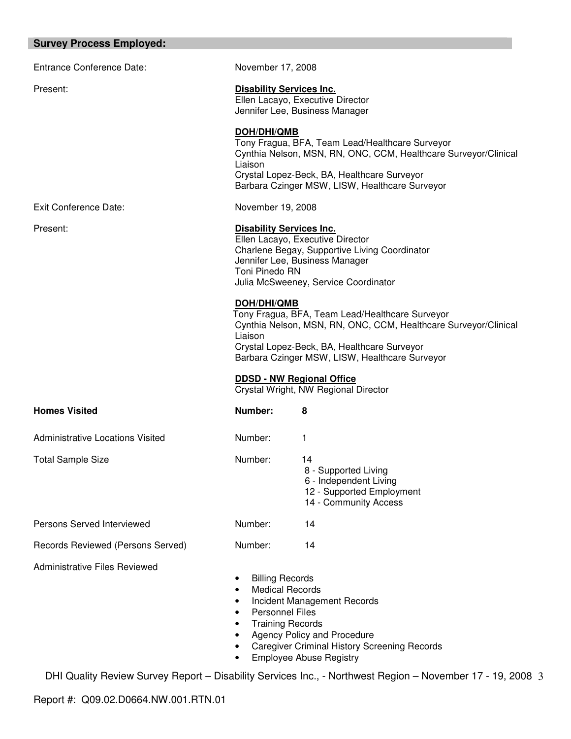| <b>Survey Process Employed:</b>         |                                                                                                                                                                                                                                               |                                                                                                                                                                                                                     |  |
|-----------------------------------------|-----------------------------------------------------------------------------------------------------------------------------------------------------------------------------------------------------------------------------------------------|---------------------------------------------------------------------------------------------------------------------------------------------------------------------------------------------------------------------|--|
| <b>Entrance Conference Date:</b>        | November 17, 2008                                                                                                                                                                                                                             |                                                                                                                                                                                                                     |  |
| Present:                                | <b>Disability Services Inc.</b><br>Ellen Lacayo, Executive Director<br>Jennifer Lee, Business Manager                                                                                                                                         |                                                                                                                                                                                                                     |  |
|                                         | <b>DOH/DHI/QMB</b><br>Liaison                                                                                                                                                                                                                 | Tony Fragua, BFA, Team Lead/Healthcare Surveyor<br>Cynthia Nelson, MSN, RN, ONC, CCM, Healthcare Surveyor/Clinical<br>Crystal Lopez-Beck, BA, Healthcare Surveyor<br>Barbara Czinger MSW, LISW, Healthcare Surveyor |  |
| Exit Conference Date:                   | November 19, 2008                                                                                                                                                                                                                             |                                                                                                                                                                                                                     |  |
| Present:                                | <b>Disability Services Inc.</b><br>Ellen Lacayo, Executive Director<br>Charlene Begay, Supportive Living Coordinator<br>Jennifer Lee, Business Manager<br>Toni Pinedo RN<br>Julia McSweeney, Service Coordinator                              |                                                                                                                                                                                                                     |  |
|                                         | DOH/DHI/QMB<br>Tony Fragua, BFA, Team Lead/Healthcare Surveyor<br>Cynthia Nelson, MSN, RN, ONC, CCM, Healthcare Surveyor/Clinical<br>Liaison<br>Crystal Lopez-Beck, BA, Healthcare Surveyor<br>Barbara Czinger MSW, LISW, Healthcare Surveyor |                                                                                                                                                                                                                     |  |
|                                         |                                                                                                                                                                                                                                               | <b>DDSD - NW Regional Office</b><br>Crystal Wright, NW Regional Director                                                                                                                                            |  |
| <b>Homes Visited</b>                    | Number:                                                                                                                                                                                                                                       | 8                                                                                                                                                                                                                   |  |
| <b>Administrative Locations Visited</b> | Number:                                                                                                                                                                                                                                       | 1                                                                                                                                                                                                                   |  |
| <b>Total Sample Size</b>                | Number:                                                                                                                                                                                                                                       | 14<br>8 - Supported Living<br>6 - Independent Living<br>12 - Supported Employment<br>14 - Community Access                                                                                                          |  |
| Persons Served Interviewed              | Number:                                                                                                                                                                                                                                       | 14                                                                                                                                                                                                                  |  |
| Records Reviewed (Persons Served)       | Number:                                                                                                                                                                                                                                       | 14                                                                                                                                                                                                                  |  |
| <b>Administrative Files Reviewed</b>    | <b>Billing Records</b><br><b>Medical Records</b><br><b>Personnel Files</b>                                                                                                                                                                    | Incident Management Records                                                                                                                                                                                         |  |

- Training Records
- Agency Policy and Procedure
- Caregiver Criminal History Screening Records
- Employee Abuse Registry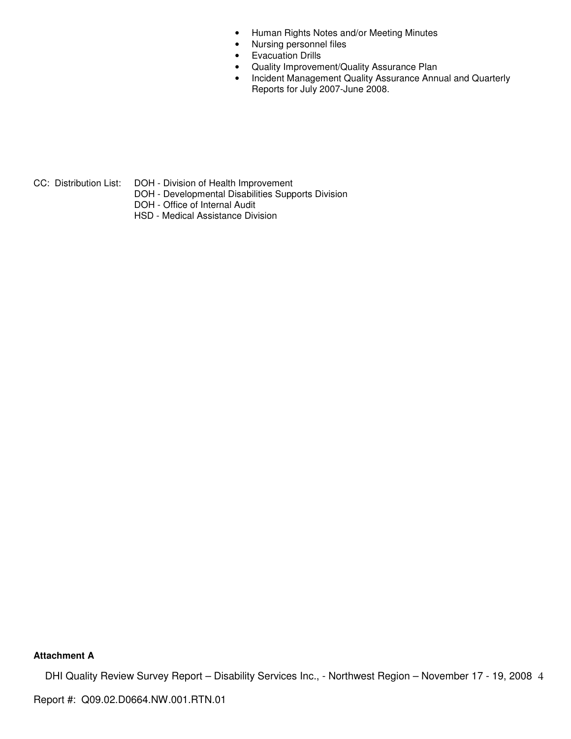- Human Rights Notes and/or Meeting Minutes
- Nursing personnel files
- Evacuation Drills
- Quality Improvement/Quality Assurance Plan
- Incident Management Quality Assurance Annual and Quarterly Reports for July 2007-June 2008.

- CC: Distribution List: DOH Division of Health Improvement
	- DOH Developmental Disabilities Supports Division
	- DOH Office of Internal Audit
	- HSD Medical Assistance Division

# **Attachment A**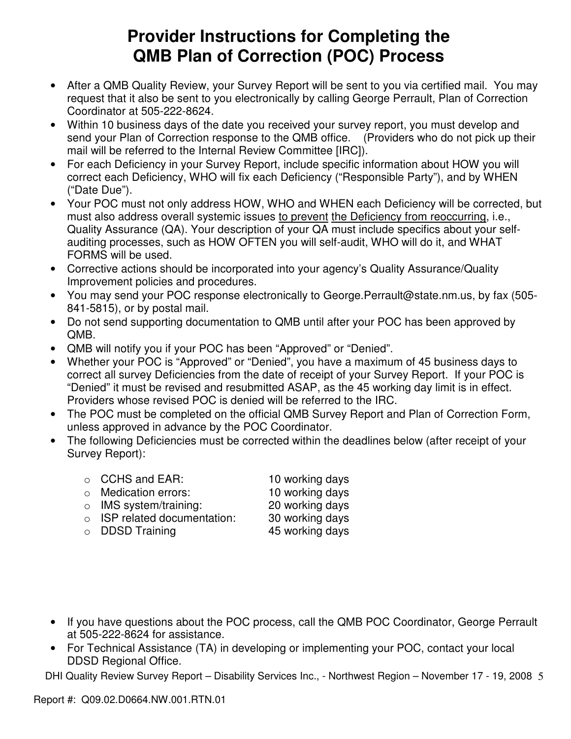# **Provider Instructions for Completing the QMB Plan of Correction (POC) Process**

- After a QMB Quality Review, your Survey Report will be sent to you via certified mail. You may request that it also be sent to you electronically by calling George Perrault, Plan of Correction Coordinator at 505-222-8624.
- Within 10 business days of the date you received your survey report, you must develop and send your Plan of Correction response to the QMB office. (Providers who do not pick up their mail will be referred to the Internal Review Committee [IRC]).
- For each Deficiency in your Survey Report, include specific information about HOW you will correct each Deficiency, WHO will fix each Deficiency ("Responsible Party"), and by WHEN ("Date Due").
- Your POC must not only address HOW, WHO and WHEN each Deficiency will be corrected, but must also address overall systemic issues to prevent the Deficiency from reoccurring, i.e., Quality Assurance (QA). Your description of your QA must include specifics about your selfauditing processes, such as HOW OFTEN you will self-audit, WHO will do it, and WHAT FORMS will be used.
- Corrective actions should be incorporated into your agency's Quality Assurance/Quality Improvement policies and procedures.
- You may send your POC response electronically to George.Perrault@state.nm.us, by fax (505- 841-5815), or by postal mail.
- Do not send supporting documentation to QMB until after your POC has been approved by QMB.
- QMB will notify you if your POC has been "Approved" or "Denied".
- Whether your POC is "Approved" or "Denied", you have a maximum of 45 business days to correct all survey Deficiencies from the date of receipt of your Survey Report. If your POC is "Denied" it must be revised and resubmitted ASAP, as the 45 working day limit is in effect. Providers whose revised POC is denied will be referred to the IRC.
- The POC must be completed on the official QMB Survey Report and Plan of Correction Form, unless approved in advance by the POC Coordinator.
- The following Deficiencies must be corrected within the deadlines below (after receipt of your Survey Report):
	- o CCHS and EAR: 10 working days
	- o Medication errors: 10 working days
	- o IMS system/training: 20 working days
	- o ISP related documentation: 30 working days
	- o DDSD Training 45 working days
- 

- If you have questions about the POC process, call the QMB POC Coordinator, George Perrault at 505-222-8624 for assistance.
- For Technical Assistance (TA) in developing or implementing your POC, contact your local DDSD Regional Office.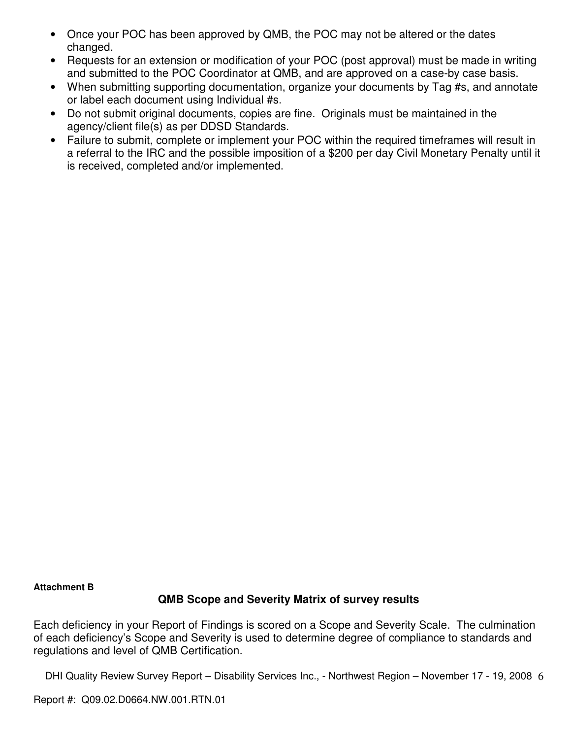- Once your POC has been approved by QMB, the POC may not be altered or the dates changed.
- Requests for an extension or modification of your POC (post approval) must be made in writing and submitted to the POC Coordinator at QMB, and are approved on a case-by case basis.
- When submitting supporting documentation, organize your documents by Tag #s, and annotate or label each document using Individual #s.
- Do not submit original documents, copies are fine. Originals must be maintained in the agency/client file(s) as per DDSD Standards.
- Failure to submit, complete or implement your POC within the required timeframes will result in a referral to the IRC and the possible imposition of a \$200 per day Civil Monetary Penalty until it is received, completed and/or implemented.

# **Attachment B**

# **QMB Scope and Severity Matrix of survey results**

Each deficiency in your Report of Findings is scored on a Scope and Severity Scale. The culmination of each deficiency's Scope and Severity is used to determine degree of compliance to standards and regulations and level of QMB Certification.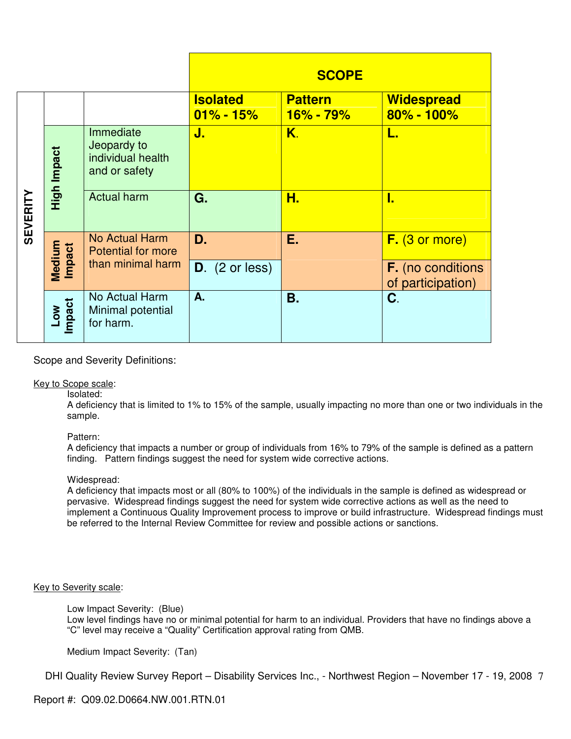|                 |                      |                                                                |                                  | <b>SCOPE</b>                    |                                               |
|-----------------|----------------------|----------------------------------------------------------------|----------------------------------|---------------------------------|-----------------------------------------------|
|                 |                      |                                                                | <b>Isolated</b><br>$01\% - 15\%$ | <b>Pattern</b><br>$16\% - 79\%$ | <b>Widespread</b><br>$80\% - 100\%$           |
| <b>SEVERITY</b> | High Impact          | Immediate<br>Jeopardy to<br>individual health<br>and or safety | J.                               | K.                              |                                               |
|                 |                      | <b>Actual harm</b>                                             | G.                               | Н.                              | т.                                            |
|                 |                      | <b>No Actual Harm</b><br><b>Potential for more</b>             | D.                               | Е.                              | $F.$ (3 or more)                              |
|                 | Medium<br>Impact     | than minimal harm                                              | $D.$ (2 or less)                 |                                 | <b>F.</b> (no conditions<br>of participation) |
|                 | <b>Impact</b><br>Low | No Actual Harm<br>Minimal potential<br>for harm.               | A.                               | <b>B.</b>                       | C.                                            |

# Scope and Severity Definitions:

### Key to Scope scale:

Isolated:

A deficiency that is limited to 1% to 15% of the sample, usually impacting no more than one or two individuals in the sample.

# Pattern:

A deficiency that impacts a number or group of individuals from 16% to 79% of the sample is defined as a pattern finding. Pattern findings suggest the need for system wide corrective actions.

### Widespread:

A deficiency that impacts most or all (80% to 100%) of the individuals in the sample is defined as widespread or pervasive. Widespread findings suggest the need for system wide corrective actions as well as the need to implement a Continuous Quality Improvement process to improve or build infrastructure. Widespread findings must be referred to the Internal Review Committee for review and possible actions or sanctions.

# Key to Severity scale:

Low Impact Severity: (Blue)

Low level findings have no or minimal potential for harm to an individual. Providers that have no findings above a "C" level may receive a "Quality" Certification approval rating from QMB.

Medium Impact Severity: (Tan)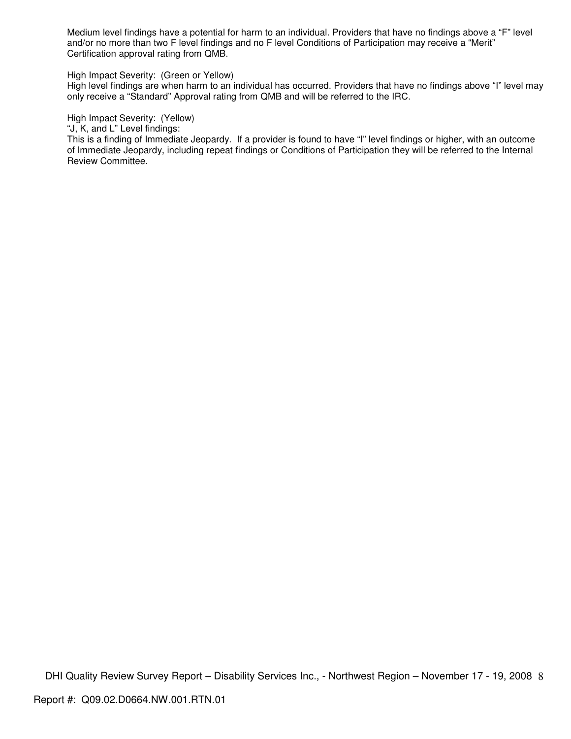Medium level findings have a potential for harm to an individual. Providers that have no findings above a "F" level and/or no more than two F level findings and no F level Conditions of Participation may receive a "Merit" Certification approval rating from QMB.

#### High Impact Severity: (Green or Yellow)

High level findings are when harm to an individual has occurred. Providers that have no findings above "I" level may only receive a "Standard" Approval rating from QMB and will be referred to the IRC.

#### High Impact Severity: (Yellow)

"J, K, and L" Level findings:

This is a finding of Immediate Jeopardy. If a provider is found to have "I" level findings or higher, with an outcome of Immediate Jeopardy, including repeat findings or Conditions of Participation they will be referred to the Internal Review Committee.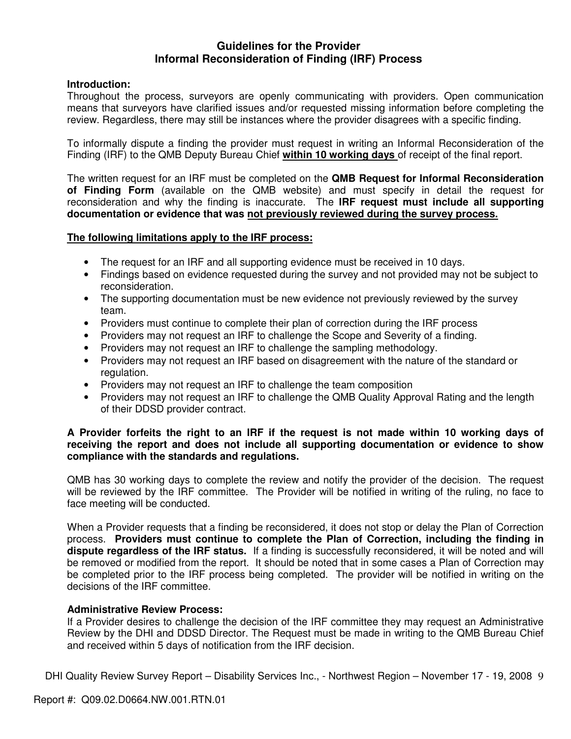# **Guidelines for the Provider Informal Reconsideration of Finding (IRF) Process**

# **Introduction:**

Throughout the process, surveyors are openly communicating with providers. Open communication means that surveyors have clarified issues and/or requested missing information before completing the review. Regardless, there may still be instances where the provider disagrees with a specific finding.

To informally dispute a finding the provider must request in writing an Informal Reconsideration of the Finding (IRF) to the QMB Deputy Bureau Chief **within 10 working days** of receipt of the final report.

The written request for an IRF must be completed on the **QMB Request for Informal Reconsideration of Finding Form** (available on the QMB website) and must specify in detail the request for reconsideration and why the finding is inaccurate. The **IRF request must include all supporting documentation or evidence that was not previously reviewed during the survey process.** 

# **The following limitations apply to the IRF process:**

- The request for an IRF and all supporting evidence must be received in 10 days.
- Findings based on evidence requested during the survey and not provided may not be subject to reconsideration.
- The supporting documentation must be new evidence not previously reviewed by the survey team.
- Providers must continue to complete their plan of correction during the IRF process
- Providers may not request an IRF to challenge the Scope and Severity of a finding.
- Providers may not request an IRF to challenge the sampling methodology.
- Providers may not request an IRF based on disagreement with the nature of the standard or regulation.
- Providers may not request an IRF to challenge the team composition
- Providers may not request an IRF to challenge the QMB Quality Approval Rating and the length of their DDSD provider contract.

# **A Provider forfeits the right to an IRF if the request is not made within 10 working days of receiving the report and does not include all supporting documentation or evidence to show compliance with the standards and regulations.**

QMB has 30 working days to complete the review and notify the provider of the decision. The request will be reviewed by the IRF committee. The Provider will be notified in writing of the ruling, no face to face meeting will be conducted.

When a Provider requests that a finding be reconsidered, it does not stop or delay the Plan of Correction process. **Providers must continue to complete the Plan of Correction, including the finding in dispute regardless of the IRF status.** If a finding is successfully reconsidered, it will be noted and will be removed or modified from the report. It should be noted that in some cases a Plan of Correction may be completed prior to the IRF process being completed. The provider will be notified in writing on the decisions of the IRF committee.

# **Administrative Review Process:**

If a Provider desires to challenge the decision of the IRF committee they may request an Administrative Review by the DHI and DDSD Director. The Request must be made in writing to the QMB Bureau Chief and received within 5 days of notification from the IRF decision.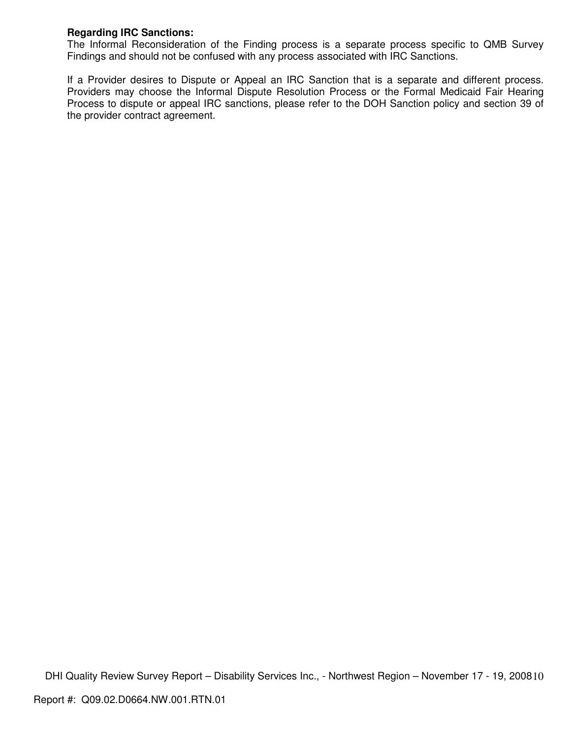# **Regarding IRC Sanctions:**

The Informal Reconsideration of the Finding process is a separate process specific to QMB Survey Findings and should not be confused with any process associated with IRC Sanctions.

If a Provider desires to Dispute or Appeal an IRC Sanction that is a separate and different process. Providers may choose the Informal Dispute Resolution Process or the Formal Medicaid Fair Hearing Process to dispute or appeal IRC sanctions, please refer to the DOH Sanction policy and section 39 of the provider contract agreement.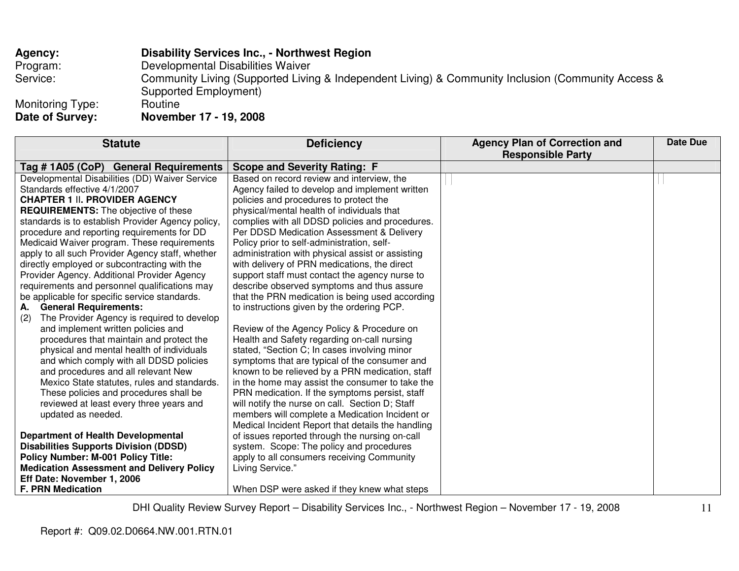| Agency:                         | <b>Disability Services Inc., - Northwest Region</b>                                                |
|---------------------------------|----------------------------------------------------------------------------------------------------|
| Program:                        | Developmental Disabilities Waiver                                                                  |
| Service:                        | Community Living (Supported Living & Independent Living) & Community Inclusion (Community Access & |
|                                 | Supported Employment)                                                                              |
| Monitoring Type:                | Routine                                                                                            |
| $R_{\text{max}} = 10 \dots 100$ | $M_{\odot}$ : $\sim$ $\sim$ $h \sim$ $\sim$ $47$ $40$ 0000                                         |

**Date of Survey: November 17 - 19, 2008** 

| <b>Statute</b>                                    | <b>Deficiency</b>                                 | <b>Agency Plan of Correction and</b><br><b>Responsible Party</b> | <b>Date Due</b> |
|---------------------------------------------------|---------------------------------------------------|------------------------------------------------------------------|-----------------|
| Tag # 1A05 (CoP) General Requirements             | <b>Scope and Severity Rating: F</b>               |                                                                  |                 |
| Developmental Disabilities (DD) Waiver Service    | Based on record review and interview, the         |                                                                  |                 |
| Standards effective 4/1/2007                      | Agency failed to develop and implement written    |                                                                  |                 |
| <b>CHAPTER 1 II. PROVIDER AGENCY</b>              | policies and procedures to protect the            |                                                                  |                 |
| <b>REQUIREMENTS:</b> The objective of these       | physical/mental health of individuals that        |                                                                  |                 |
| standards is to establish Provider Agency policy, | complies with all DDSD policies and procedures.   |                                                                  |                 |
| procedure and reporting requirements for DD       | Per DDSD Medication Assessment & Delivery         |                                                                  |                 |
| Medicaid Waiver program. These requirements       | Policy prior to self-administration, self-        |                                                                  |                 |
| apply to all such Provider Agency staff, whether  | administration with physical assist or assisting  |                                                                  |                 |
| directly employed or subcontracting with the      | with delivery of PRN medications, the direct      |                                                                  |                 |
| Provider Agency. Additional Provider Agency       | support staff must contact the agency nurse to    |                                                                  |                 |
| requirements and personnel qualifications may     | describe observed symptoms and thus assure        |                                                                  |                 |
| be applicable for specific service standards.     | that the PRN medication is being used according   |                                                                  |                 |
| A. General Requirements:                          | to instructions given by the ordering PCP.        |                                                                  |                 |
| The Provider Agency is required to develop<br>(2) |                                                   |                                                                  |                 |
| and implement written policies and                | Review of the Agency Policy & Procedure on        |                                                                  |                 |
| procedures that maintain and protect the          | Health and Safety regarding on-call nursing       |                                                                  |                 |
| physical and mental health of individuals         | stated, "Section C; In cases involving minor      |                                                                  |                 |
| and which comply with all DDSD policies           | symptoms that are typical of the consumer and     |                                                                  |                 |
| and procedures and all relevant New               | known to be relieved by a PRN medication, staff   |                                                                  |                 |
| Mexico State statutes, rules and standards.       | in the home may assist the consumer to take the   |                                                                  |                 |
| These policies and procedures shall be            | PRN medication. If the symptoms persist, staff    |                                                                  |                 |
| reviewed at least every three years and           | will notify the nurse on call. Section D; Staff   |                                                                  |                 |
| updated as needed.                                | members will complete a Medication Incident or    |                                                                  |                 |
|                                                   | Medical Incident Report that details the handling |                                                                  |                 |
| <b>Department of Health Developmental</b>         | of issues reported through the nursing on-call    |                                                                  |                 |
| <b>Disabilities Supports Division (DDSD)</b>      | system. Scope: The policy and procedures          |                                                                  |                 |
| <b>Policy Number: M-001 Policy Title:</b>         | apply to all consumers receiving Community        |                                                                  |                 |
| <b>Medication Assessment and Delivery Policy</b>  | Living Service."                                  |                                                                  |                 |
| Eff Date: November 1, 2006                        |                                                   |                                                                  |                 |
| <b>F. PRN Medication</b>                          | When DSP were asked if they knew what steps       |                                                                  |                 |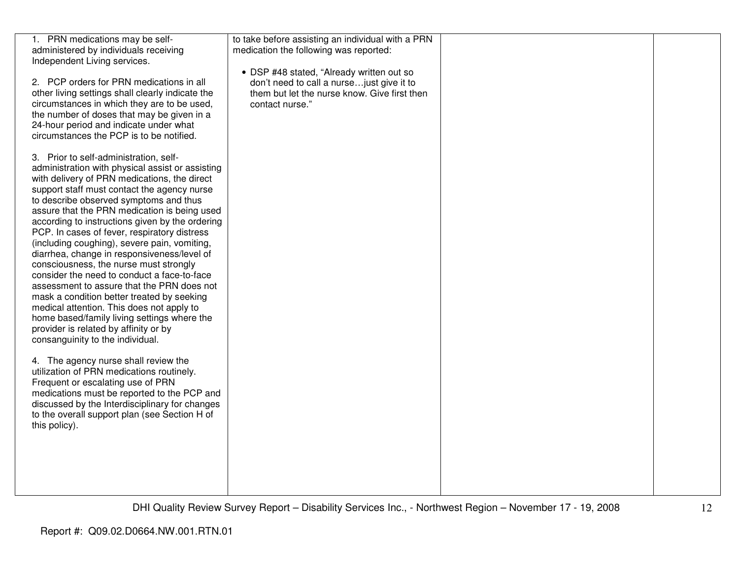| 1. PRN medications may be self-                  | to take before assisting an individual with a PRN |  |
|--------------------------------------------------|---------------------------------------------------|--|
| administered by individuals receiving            | medication the following was reported:            |  |
| Independent Living services.                     |                                                   |  |
|                                                  | • DSP #48 stated, "Already written out so         |  |
| 2. PCP orders for PRN medications in all         | don't need to call a nurse just give it to        |  |
| other living settings shall clearly indicate the | them but let the nurse know. Give first then      |  |
|                                                  |                                                   |  |
| circumstances in which they are to be used,      | contact nurse."                                   |  |
| the number of doses that may be given in a       |                                                   |  |
| 24-hour period and indicate under what           |                                                   |  |
| circumstances the PCP is to be notified.         |                                                   |  |
|                                                  |                                                   |  |
| 3. Prior to self-administration, self-           |                                                   |  |
|                                                  |                                                   |  |
| administration with physical assist or assisting |                                                   |  |
| with delivery of PRN medications, the direct     |                                                   |  |
| support staff must contact the agency nurse      |                                                   |  |
| to describe observed symptoms and thus           |                                                   |  |
| assure that the PRN medication is being used     |                                                   |  |
| according to instructions given by the ordering  |                                                   |  |
| PCP. In cases of fever, respiratory distress     |                                                   |  |
|                                                  |                                                   |  |
| (including coughing), severe pain, vomiting,     |                                                   |  |
| diarrhea, change in responsiveness/level of      |                                                   |  |
| consciousness, the nurse must strongly           |                                                   |  |
| consider the need to conduct a face-to-face      |                                                   |  |
| assessment to assure that the PRN does not       |                                                   |  |
| mask a condition better treated by seeking       |                                                   |  |
| medical attention. This does not apply to        |                                                   |  |
|                                                  |                                                   |  |
| home based/family living settings where the      |                                                   |  |
| provider is related by affinity or by            |                                                   |  |
| consanguinity to the individual.                 |                                                   |  |
|                                                  |                                                   |  |
| 4. The agency nurse shall review the             |                                                   |  |
| utilization of PRN medications routinely.        |                                                   |  |
| Frequent or escalating use of PRN                |                                                   |  |
|                                                  |                                                   |  |
| medications must be reported to the PCP and      |                                                   |  |
| discussed by the Interdisciplinary for changes   |                                                   |  |
| to the overall support plan (see Section H of    |                                                   |  |
| this policy).                                    |                                                   |  |
|                                                  |                                                   |  |
|                                                  |                                                   |  |
|                                                  |                                                   |  |
|                                                  |                                                   |  |
|                                                  |                                                   |  |
|                                                  |                                                   |  |
|                                                  |                                                   |  |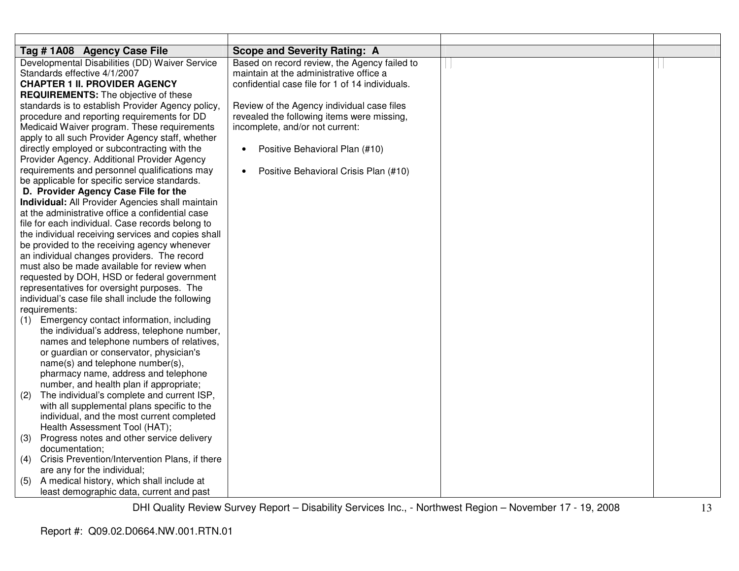| Tag # 1A08 Agency Case File                           | <b>Scope and Severity Rating: A</b>             |  |
|-------------------------------------------------------|-------------------------------------------------|--|
| Developmental Disabilities (DD) Waiver Service        | Based on record review, the Agency failed to    |  |
| Standards effective 4/1/2007                          | maintain at the administrative office a         |  |
| <b>CHAPTER 1 II. PROVIDER AGENCY</b>                  | confidential case file for 1 of 14 individuals. |  |
| <b>REQUIREMENTS:</b> The objective of these           |                                                 |  |
| standards is to establish Provider Agency policy,     | Review of the Agency individual case files      |  |
| procedure and reporting requirements for DD           | revealed the following items were missing,      |  |
| Medicaid Waiver program. These requirements           | incomplete, and/or not current:                 |  |
| apply to all such Provider Agency staff, whether      |                                                 |  |
| directly employed or subcontracting with the          | Positive Behavioral Plan (#10)                  |  |
| Provider Agency. Additional Provider Agency           |                                                 |  |
| requirements and personnel qualifications may         | Positive Behavioral Crisis Plan (#10)           |  |
| be applicable for specific service standards.         |                                                 |  |
| D. Provider Agency Case File for the                  |                                                 |  |
| Individual: All Provider Agencies shall maintain      |                                                 |  |
| at the administrative office a confidential case      |                                                 |  |
| file for each individual. Case records belong to      |                                                 |  |
| the individual receiving services and copies shall    |                                                 |  |
| be provided to the receiving agency whenever          |                                                 |  |
| an individual changes providers. The record           |                                                 |  |
| must also be made available for review when           |                                                 |  |
| requested by DOH, HSD or federal government           |                                                 |  |
| representatives for oversight purposes. The           |                                                 |  |
| individual's case file shall include the following    |                                                 |  |
| requirements:                                         |                                                 |  |
| Emergency contact information, including<br>(1)       |                                                 |  |
| the individual's address, telephone number,           |                                                 |  |
| names and telephone numbers of relatives,             |                                                 |  |
| or guardian or conservator, physician's               |                                                 |  |
| name(s) and telephone number(s),                      |                                                 |  |
| pharmacy name, address and telephone                  |                                                 |  |
| number, and health plan if appropriate;               |                                                 |  |
| The individual's complete and current ISP,<br>(2)     |                                                 |  |
| with all supplemental plans specific to the           |                                                 |  |
| individual, and the most current completed            |                                                 |  |
| Health Assessment Tool (HAT);                         |                                                 |  |
| (3)<br>Progress notes and other service delivery      |                                                 |  |
| documentation;                                        |                                                 |  |
| Crisis Prevention/Intervention Plans, if there<br>(4) |                                                 |  |
| are any for the individual;                           |                                                 |  |
| A medical history, which shall include at<br>(5)      |                                                 |  |
| least demographic data, current and past              |                                                 |  |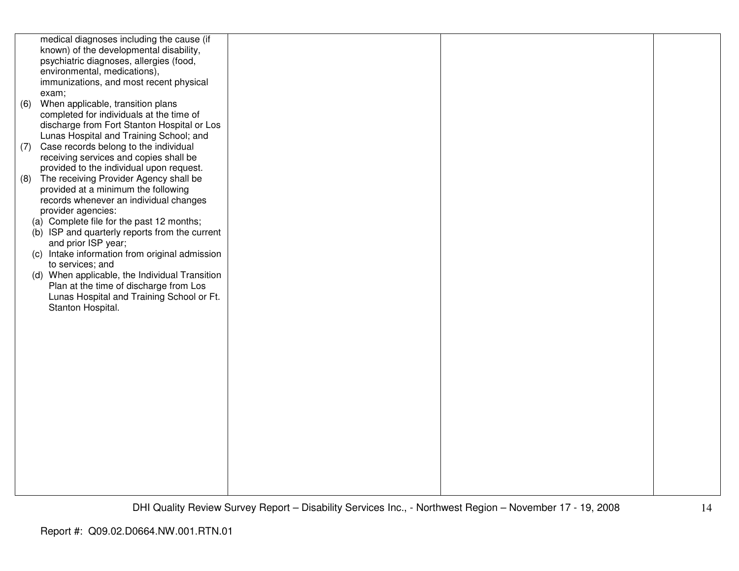|     | medical diagnoses including the cause (if      |  |  |
|-----|------------------------------------------------|--|--|
|     | known) of the developmental disability,        |  |  |
|     | psychiatric diagnoses, allergies (food,        |  |  |
|     | environmental, medications),                   |  |  |
|     |                                                |  |  |
|     | immunizations, and most recent physical        |  |  |
|     | exam;                                          |  |  |
| (6) | When applicable, transition plans              |  |  |
|     | completed for individuals at the time of       |  |  |
|     | discharge from Fort Stanton Hospital or Los    |  |  |
|     | Lunas Hospital and Training School; and        |  |  |
|     | (7) Case records belong to the individual      |  |  |
|     |                                                |  |  |
|     | receiving services and copies shall be         |  |  |
|     | provided to the individual upon request.       |  |  |
| (8) | The receiving Provider Agency shall be         |  |  |
|     | provided at a minimum the following            |  |  |
|     | records whenever an individual changes         |  |  |
|     | provider agencies:                             |  |  |
|     | (a) Complete file for the past 12 months;      |  |  |
|     | (b) ISP and quarterly reports from the current |  |  |
|     |                                                |  |  |
|     | and prior ISP year;                            |  |  |
|     | (c) Intake information from original admission |  |  |
|     | to services; and                               |  |  |
|     | (d) When applicable, the Individual Transition |  |  |
|     | Plan at the time of discharge from Los         |  |  |
|     | Lunas Hospital and Training School or Ft.      |  |  |
|     | Stanton Hospital.                              |  |  |
|     |                                                |  |  |
|     |                                                |  |  |
|     |                                                |  |  |
|     |                                                |  |  |
|     |                                                |  |  |
|     |                                                |  |  |
|     |                                                |  |  |
|     |                                                |  |  |
|     |                                                |  |  |
|     |                                                |  |  |
|     |                                                |  |  |
|     |                                                |  |  |
|     |                                                |  |  |
|     |                                                |  |  |
|     |                                                |  |  |
|     |                                                |  |  |
|     |                                                |  |  |
|     |                                                |  |  |
|     |                                                |  |  |
|     |                                                |  |  |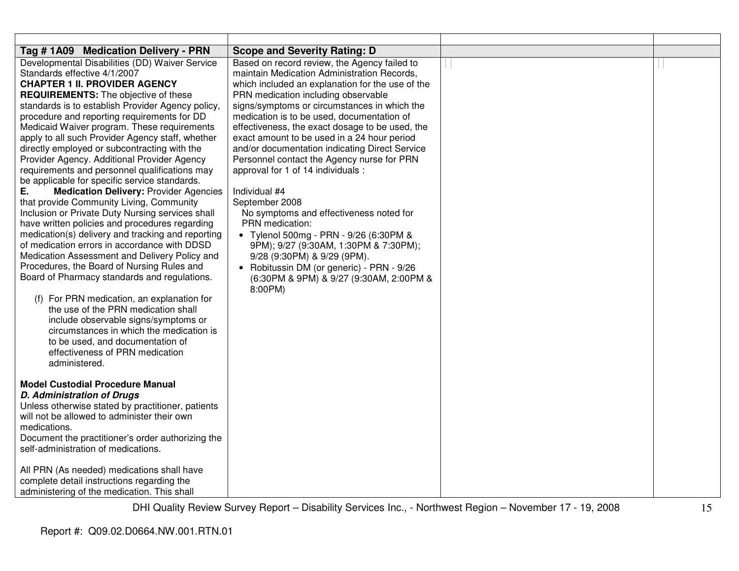| Tag #1A09 Medication Delivery - PRN                                                                                                                                                                                                                                                                                                                                                                                                                                                                                                                                                                                                                                                                                                                                                                                                                                                                                                                                                                                                                                                                                                                                                                                                                                                                         | <b>Scope and Severity Rating: D</b>                                                                                                                                                                                                                                                                                                                                                                                                                                                                                                                                                                                                                                                                                                                                                                                                                |  |
|-------------------------------------------------------------------------------------------------------------------------------------------------------------------------------------------------------------------------------------------------------------------------------------------------------------------------------------------------------------------------------------------------------------------------------------------------------------------------------------------------------------------------------------------------------------------------------------------------------------------------------------------------------------------------------------------------------------------------------------------------------------------------------------------------------------------------------------------------------------------------------------------------------------------------------------------------------------------------------------------------------------------------------------------------------------------------------------------------------------------------------------------------------------------------------------------------------------------------------------------------------------------------------------------------------------|----------------------------------------------------------------------------------------------------------------------------------------------------------------------------------------------------------------------------------------------------------------------------------------------------------------------------------------------------------------------------------------------------------------------------------------------------------------------------------------------------------------------------------------------------------------------------------------------------------------------------------------------------------------------------------------------------------------------------------------------------------------------------------------------------------------------------------------------------|--|
| Developmental Disabilities (DD) Waiver Service<br>Standards effective 4/1/2007<br><b>CHAPTER 1 II. PROVIDER AGENCY</b><br><b>REQUIREMENTS:</b> The objective of these<br>standards is to establish Provider Agency policy,<br>procedure and reporting requirements for DD<br>Medicaid Waiver program. These requirements<br>apply to all such Provider Agency staff, whether<br>directly employed or subcontracting with the<br>Provider Agency. Additional Provider Agency<br>requirements and personnel qualifications may<br>be applicable for specific service standards.<br>Е.<br><b>Medication Delivery: Provider Agencies</b><br>that provide Community Living, Community<br>Inclusion or Private Duty Nursing services shall<br>have written policies and procedures regarding<br>medication(s) delivery and tracking and reporting<br>of medication errors in accordance with DDSD<br>Medication Assessment and Delivery Policy and<br>Procedures, the Board of Nursing Rules and<br>Board of Pharmacy standards and regulations.<br>(f) For PRN medication, an explanation for<br>the use of the PRN medication shall<br>include observable signs/symptoms or<br>circumstances in which the medication is<br>to be used, and documentation of<br>effectiveness of PRN medication<br>administered. | Based on record review, the Agency failed to<br>maintain Medication Administration Records,<br>which included an explanation for the use of the<br>PRN medication including observable<br>signs/symptoms or circumstances in which the<br>medication is to be used, documentation of<br>effectiveness, the exact dosage to be used, the<br>exact amount to be used in a 24 hour period<br>and/or documentation indicating Direct Service<br>Personnel contact the Agency nurse for PRN<br>approval for 1 of 14 individuals :<br>Individual #4<br>September 2008<br>No symptoms and effectiveness noted for<br>PRN medication:<br>• Tylenol 500mg - PRN - 9/26 (6:30PM &<br>9PM); 9/27 (9:30AM, 1:30PM & 7:30PM);<br>9/28 (9:30PM) & 9/29 (9PM).<br>• Robitussin DM (or generic) - PRN - 9/26<br>(6:30PM & 9PM) & 9/27 (9:30AM, 2:00PM &<br>8:00PM) |  |
| <b>Model Custodial Procedure Manual</b><br><b>D. Administration of Drugs</b><br>Unless otherwise stated by practitioner, patients<br>will not be allowed to administer their own<br>medications.<br>Document the practitioner's order authorizing the<br>self-administration of medications.<br>All PRN (As needed) medications shall have<br>complete detail instructions regarding the<br>administering of the medication. This shall                                                                                                                                                                                                                                                                                                                                                                                                                                                                                                                                                                                                                                                                                                                                                                                                                                                                     |                                                                                                                                                                                                                                                                                                                                                                                                                                                                                                                                                                                                                                                                                                                                                                                                                                                    |  |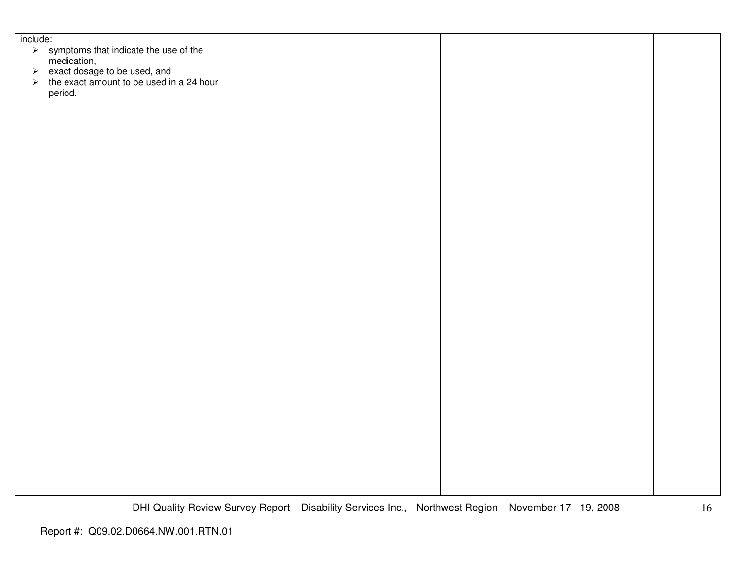| include:                                                                                   |  |  |
|--------------------------------------------------------------------------------------------|--|--|
| $\triangleright$ symptoms that indicate the use of the medication,                         |  |  |
|                                                                                            |  |  |
| iversity and a sexact dosage to be used, and<br>⇒ the exact amount to be used in a 24 hour |  |  |
|                                                                                            |  |  |
| period.                                                                                    |  |  |
|                                                                                            |  |  |
|                                                                                            |  |  |
|                                                                                            |  |  |
|                                                                                            |  |  |
|                                                                                            |  |  |
|                                                                                            |  |  |
|                                                                                            |  |  |
|                                                                                            |  |  |
|                                                                                            |  |  |
|                                                                                            |  |  |
|                                                                                            |  |  |
|                                                                                            |  |  |
|                                                                                            |  |  |
|                                                                                            |  |  |
|                                                                                            |  |  |
|                                                                                            |  |  |
|                                                                                            |  |  |
|                                                                                            |  |  |
|                                                                                            |  |  |
|                                                                                            |  |  |
|                                                                                            |  |  |
|                                                                                            |  |  |
|                                                                                            |  |  |
|                                                                                            |  |  |
|                                                                                            |  |  |
|                                                                                            |  |  |
|                                                                                            |  |  |
|                                                                                            |  |  |
|                                                                                            |  |  |
|                                                                                            |  |  |
|                                                                                            |  |  |
|                                                                                            |  |  |
|                                                                                            |  |  |
|                                                                                            |  |  |
|                                                                                            |  |  |
|                                                                                            |  |  |
|                                                                                            |  |  |
|                                                                                            |  |  |
|                                                                                            |  |  |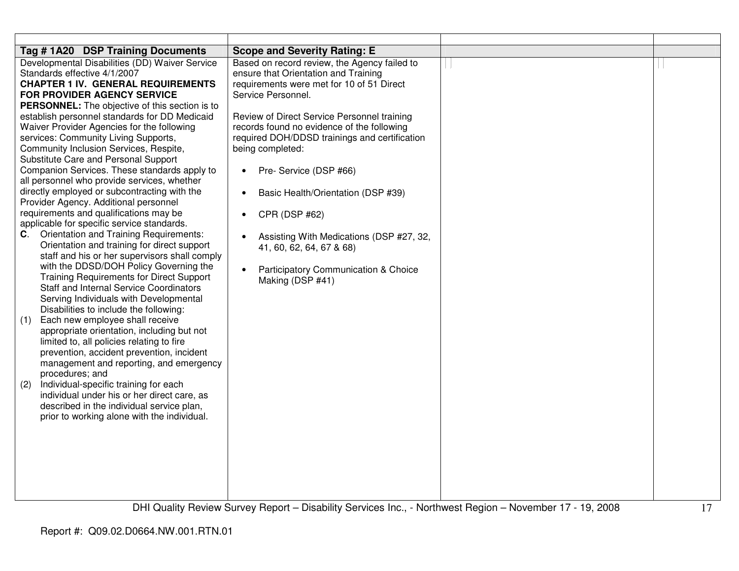| Tag #1A20 DSP Training Documents                                                                                                                                                                                                                                                                                                                                                                                                                                                                                                                                                                                                                                                                                                                                                                                                                                                                                                                                                                                                                                                                                                                                                                                                                                                                                                                                                                                                                                                                                                                               | <b>Scope and Severity Rating: E</b>                                                                                                                                                                                                                                                                                                                                                                                                                                                                                                                                                                |  |
|----------------------------------------------------------------------------------------------------------------------------------------------------------------------------------------------------------------------------------------------------------------------------------------------------------------------------------------------------------------------------------------------------------------------------------------------------------------------------------------------------------------------------------------------------------------------------------------------------------------------------------------------------------------------------------------------------------------------------------------------------------------------------------------------------------------------------------------------------------------------------------------------------------------------------------------------------------------------------------------------------------------------------------------------------------------------------------------------------------------------------------------------------------------------------------------------------------------------------------------------------------------------------------------------------------------------------------------------------------------------------------------------------------------------------------------------------------------------------------------------------------------------------------------------------------------|----------------------------------------------------------------------------------------------------------------------------------------------------------------------------------------------------------------------------------------------------------------------------------------------------------------------------------------------------------------------------------------------------------------------------------------------------------------------------------------------------------------------------------------------------------------------------------------------------|--|
| Developmental Disabilities (DD) Waiver Service<br>Standards effective 4/1/2007<br><b>CHAPTER 1 IV. GENERAL REQUIREMENTS</b><br><b>FOR PROVIDER AGENCY SERVICE</b><br><b>PERSONNEL:</b> The objective of this section is to<br>establish personnel standards for DD Medicaid<br>Waiver Provider Agencies for the following<br>services: Community Living Supports,<br>Community Inclusion Services, Respite,<br>Substitute Care and Personal Support<br>Companion Services. These standards apply to<br>all personnel who provide services, whether<br>directly employed or subcontracting with the<br>Provider Agency. Additional personnel<br>requirements and qualifications may be<br>applicable for specific service standards.<br>C. Orientation and Training Requirements:<br>Orientation and training for direct support<br>staff and his or her supervisors shall comply<br>with the DDSD/DOH Policy Governing the<br><b>Training Requirements for Direct Support</b><br><b>Staff and Internal Service Coordinators</b><br>Serving Individuals with Developmental<br>Disabilities to include the following:<br>Each new employee shall receive<br>(1)<br>appropriate orientation, including but not<br>limited to, all policies relating to fire<br>prevention, accident prevention, incident<br>management and reporting, and emergency<br>procedures; and<br>Individual-specific training for each<br>(2)<br>individual under his or her direct care, as<br>described in the individual service plan,<br>prior to working alone with the individual. | Based on record review, the Agency failed to<br>ensure that Orientation and Training<br>requirements were met for 10 of 51 Direct<br>Service Personnel.<br>Review of Direct Service Personnel training<br>records found no evidence of the following<br>required DOH/DDSD trainings and certification<br>being completed:<br>Pre- Service (DSP #66)<br>$\bullet$<br>Basic Health/Orientation (DSP #39)<br>$\bullet$<br>CPR (DSP #62)<br>$\bullet$<br>Assisting With Medications (DSP #27, 32,<br>41, 60, 62, 64, 67 & 68)<br>Participatory Communication & Choice<br>$\bullet$<br>Making (DSP #41) |  |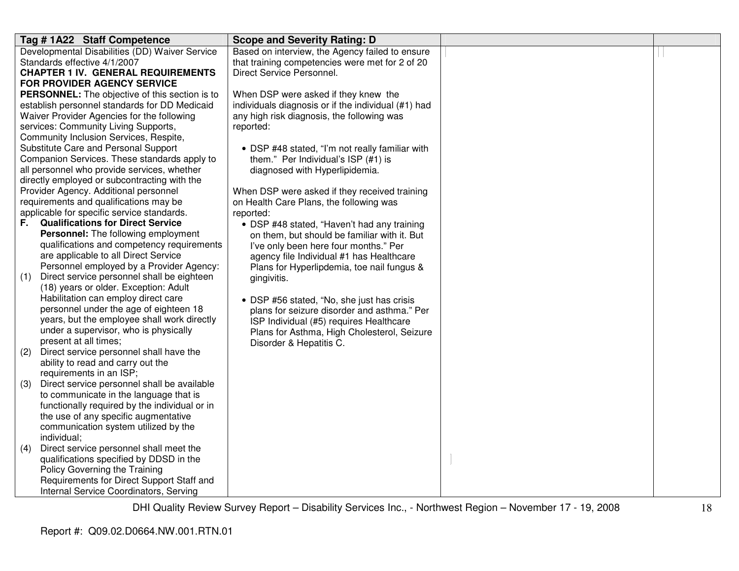| Tag #1A22 Staff Competence                                                   | <b>Scope and Severity Rating: D</b>                 |  |
|------------------------------------------------------------------------------|-----------------------------------------------------|--|
| Developmental Disabilities (DD) Waiver Service                               | Based on interview, the Agency failed to ensure     |  |
| Standards effective 4/1/2007                                                 | that training competencies were met for 2 of 20     |  |
| <b>CHAPTER 1 IV. GENERAL REQUIREMENTS</b>                                    | Direct Service Personnel.                           |  |
| FOR PROVIDER AGENCY SERVICE                                                  |                                                     |  |
| PERSONNEL: The objective of this section is to                               | When DSP were asked if they knew the                |  |
| establish personnel standards for DD Medicaid                                | individuals diagnosis or if the individual (#1) had |  |
| Waiver Provider Agencies for the following                                   | any high risk diagnosis, the following was          |  |
| services: Community Living Supports,                                         | reported:                                           |  |
| Community Inclusion Services, Respite,                                       |                                                     |  |
| Substitute Care and Personal Support                                         | • DSP #48 stated, "I'm not really familiar with     |  |
| Companion Services. These standards apply to                                 | them." Per Individual's ISP (#1) is                 |  |
| all personnel who provide services, whether                                  | diagnosed with Hyperlipidemia.                      |  |
| directly employed or subcontracting with the                                 |                                                     |  |
| Provider Agency. Additional personnel                                        | When DSP were asked if they received training       |  |
| requirements and qualifications may be                                       | on Health Care Plans, the following was             |  |
| applicable for specific service standards.                                   | reported:                                           |  |
| <b>Qualifications for Direct Service</b><br>F.                               | • DSP #48 stated, "Haven't had any training         |  |
| Personnel: The following employment                                          | on them, but should be familiar with it. But        |  |
| qualifications and competency requirements                                   | I've only been here four months." Per               |  |
| are applicable to all Direct Service                                         | agency file Individual #1 has Healthcare            |  |
| Personnel employed by a Provider Agency:                                     | Plans for Hyperlipdemia, toe nail fungus &          |  |
| Direct service personnel shall be eighteen<br>(1)                            | gingivitis.                                         |  |
| (18) years or older. Exception: Adult<br>Habilitation can employ direct care |                                                     |  |
| personnel under the age of eighteen 18                                       | • DSP #56 stated, "No, she just has crisis          |  |
| years, but the employee shall work directly                                  | plans for seizure disorder and asthma." Per         |  |
| under a supervisor, who is physically                                        | ISP Individual (#5) requires Healthcare             |  |
| present at all times;                                                        | Plans for Asthma, High Cholesterol, Seizure         |  |
| Direct service personnel shall have the<br>(2)                               | Disorder & Hepatitis C.                             |  |
| ability to read and carry out the                                            |                                                     |  |
| requirements in an ISP;                                                      |                                                     |  |
| Direct service personnel shall be available<br>(3)                           |                                                     |  |
| to communicate in the language that is                                       |                                                     |  |
| functionally required by the individual or in                                |                                                     |  |
| the use of any specific augmentative                                         |                                                     |  |
| communication system utilized by the                                         |                                                     |  |
| individual;                                                                  |                                                     |  |
| Direct service personnel shall meet the<br>(4)                               |                                                     |  |
| qualifications specified by DDSD in the                                      |                                                     |  |
| Policy Governing the Training                                                |                                                     |  |
| Requirements for Direct Support Staff and                                    |                                                     |  |
| Internal Service Coordinators, Serving                                       |                                                     |  |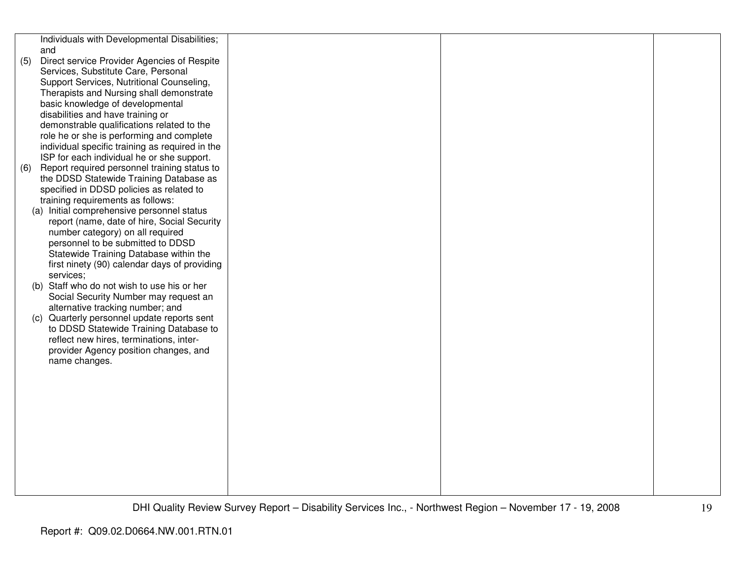|     | Individuals with Developmental Disabilities;                          |  |  |
|-----|-----------------------------------------------------------------------|--|--|
|     | and                                                                   |  |  |
| (5) | Direct service Provider Agencies of Respite                           |  |  |
|     | Services, Substitute Care, Personal                                   |  |  |
|     | Support Services, Nutritional Counseling,                             |  |  |
|     | Therapists and Nursing shall demonstrate                              |  |  |
|     | basic knowledge of developmental                                      |  |  |
|     | disabilities and have training or                                     |  |  |
|     | demonstrable qualifications related to the                            |  |  |
|     | role he or she is performing and complete                             |  |  |
|     | individual specific training as required in the                       |  |  |
|     | ISP for each individual he or she support.                            |  |  |
| (6) | Report required personnel training status to                          |  |  |
|     | the DDSD Statewide Training Database as                               |  |  |
|     | specified in DDSD policies as related to                              |  |  |
|     | training requirements as follows:                                     |  |  |
|     | (a) Initial comprehensive personnel status                            |  |  |
|     | report (name, date of hire, Social Security                           |  |  |
|     | number category) on all required<br>personnel to be submitted to DDSD |  |  |
|     | Statewide Training Database within the                                |  |  |
|     | first ninety (90) calendar days of providing                          |  |  |
|     | services;                                                             |  |  |
|     | (b) Staff who do not wish to use his or her                           |  |  |
|     | Social Security Number may request an                                 |  |  |
|     | alternative tracking number; and                                      |  |  |
|     | (c) Quarterly personnel update reports sent                           |  |  |
|     | to DDSD Statewide Training Database to                                |  |  |
|     | reflect new hires, terminations, inter-                               |  |  |
|     | provider Agency position changes, and                                 |  |  |
|     | name changes.                                                         |  |  |
|     |                                                                       |  |  |
|     |                                                                       |  |  |
|     |                                                                       |  |  |
|     |                                                                       |  |  |
|     |                                                                       |  |  |
|     |                                                                       |  |  |
|     |                                                                       |  |  |
|     |                                                                       |  |  |
|     |                                                                       |  |  |
|     |                                                                       |  |  |
|     |                                                                       |  |  |
|     |                                                                       |  |  |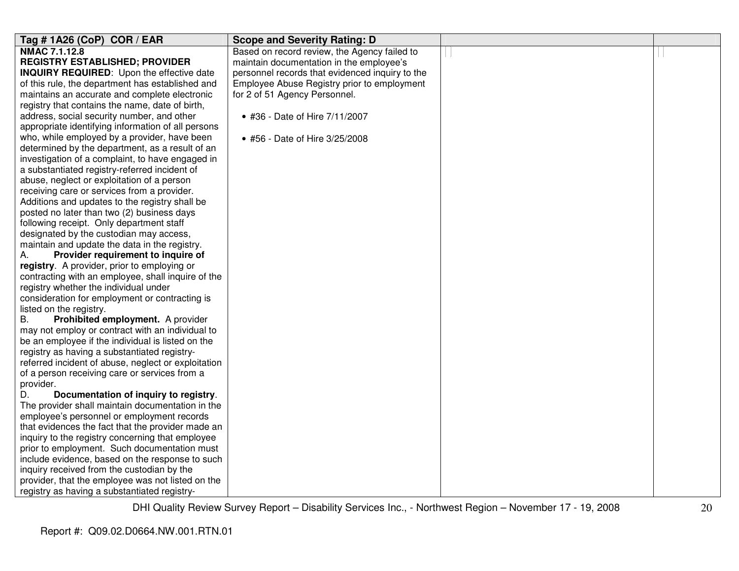| Tag # 1A26 (CoP) COR / EAR                                 | <b>Scope and Severity Rating: D</b>             |  |
|------------------------------------------------------------|-------------------------------------------------|--|
| NMAC 7.1.12.8                                              | Based on record review, the Agency failed to    |  |
| <b>REGISTRY ESTABLISHED; PROVIDER</b>                      | maintain documentation in the employee's        |  |
| <b>INQUIRY REQUIRED:</b> Upon the effective date           | personnel records that evidenced inquiry to the |  |
| of this rule, the department has established and           | Employee Abuse Registry prior to employment     |  |
| maintains an accurate and complete electronic              | for 2 of 51 Agency Personnel.                   |  |
| registry that contains the name, date of birth,            |                                                 |  |
| address, social security number, and other                 | • #36 - Date of Hire 7/11/2007                  |  |
| appropriate identifying information of all persons         |                                                 |  |
| who, while employed by a provider, have been               | • #56 - Date of Hire 3/25/2008                  |  |
| determined by the department, as a result of an            |                                                 |  |
| investigation of a complaint, to have engaged in           |                                                 |  |
| a substantiated registry-referred incident of              |                                                 |  |
| abuse, neglect or exploitation of a person                 |                                                 |  |
| receiving care or services from a provider.                |                                                 |  |
| Additions and updates to the registry shall be             |                                                 |  |
| posted no later than two (2) business days                 |                                                 |  |
| following receipt. Only department staff                   |                                                 |  |
| designated by the custodian may access,                    |                                                 |  |
| maintain and update the data in the registry.              |                                                 |  |
| Provider requirement to inquire of<br>А.                   |                                                 |  |
| registry. A provider, prior to employing or                |                                                 |  |
| contracting with an employee, shall inquire of the         |                                                 |  |
| registry whether the individual under                      |                                                 |  |
| consideration for employment or contracting is             |                                                 |  |
| listed on the registry.                                    |                                                 |  |
| Prohibited employment. A provider<br>В.                    |                                                 |  |
| may not employ or contract with an individual to           |                                                 |  |
| be an employee if the individual is listed on the          |                                                 |  |
| registry as having a substantiated registry-               |                                                 |  |
| referred incident of abuse, neglect or exploitation        |                                                 |  |
| of a person receiving care or services from a<br>provider. |                                                 |  |
| D.<br>Documentation of inquiry to registry.                |                                                 |  |
| The provider shall maintain documentation in the           |                                                 |  |
| employee's personnel or employment records                 |                                                 |  |
| that evidences the fact that the provider made an          |                                                 |  |
| inquiry to the registry concerning that employee           |                                                 |  |
| prior to employment. Such documentation must               |                                                 |  |
| include evidence, based on the response to such            |                                                 |  |
| inquiry received from the custodian by the                 |                                                 |  |
| provider, that the employee was not listed on the          |                                                 |  |
| registry as having a substantiated registry-               |                                                 |  |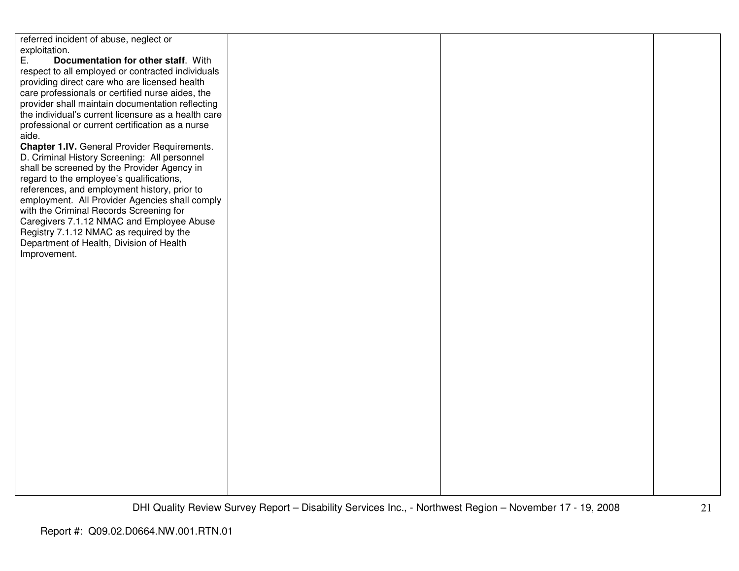referred incident of abuse, neglect or exploitation.<br>E. Doc E. **Documentation for other staff**. With respect to all employed or contracted individuals providing direct care who are licensed health care professionals or certified nurse aides, the provider shall maintain documentation reflecting the individual's current licensure as a health careprofessional or current certification as a nurse aide. **Chapter 1.IV.** General Provider Requirements. D. Criminal History Screening: All personnel shall be screened by the Provider Agency in regard to the employee's qualifications, references, and employment history, prior to employment. All Provider Agencies shall comply with the Criminal Records Screening for Caregivers 7.1.12 NMAC and Employee Abuse Registry 7.1.12 NMAC as required by the Department of Health, Division of Health Improvement.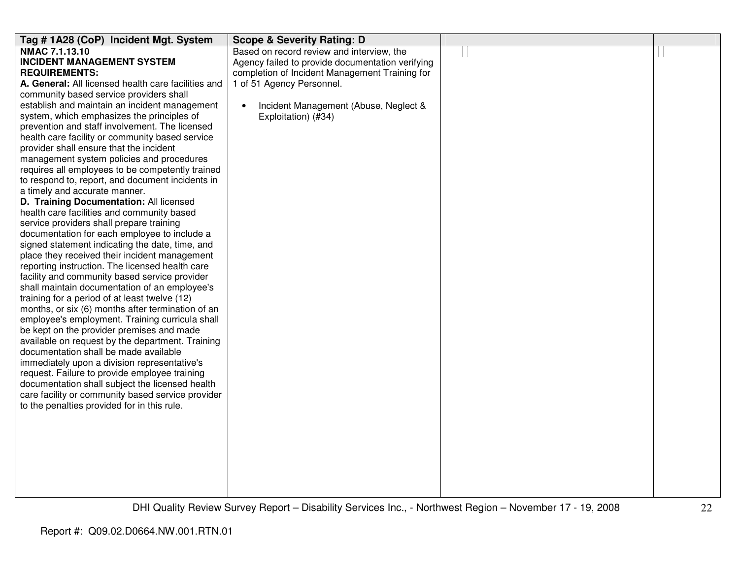| Tag #1A28 (CoP) Incident Mgt. System                | <b>Scope &amp; Severity Rating: D</b>            |  |
|-----------------------------------------------------|--------------------------------------------------|--|
| <b>NMAC 7.1.13.10</b>                               | Based on record review and interview, the        |  |
| <b>INCIDENT MANAGEMENT SYSTEM</b>                   | Agency failed to provide documentation verifying |  |
| <b>REQUIREMENTS:</b>                                | completion of Incident Management Training for   |  |
| A. General: All licensed health care facilities and | 1 of 51 Agency Personnel.                        |  |
| community based service providers shall             |                                                  |  |
| establish and maintain an incident management       | Incident Management (Abuse, Neglect &            |  |
| system, which emphasizes the principles of          | Exploitation) (#34)                              |  |
| prevention and staff involvement. The licensed      |                                                  |  |
| health care facility or community based service     |                                                  |  |
| provider shall ensure that the incident             |                                                  |  |
| management system policies and procedures           |                                                  |  |
| requires all employees to be competently trained    |                                                  |  |
| to respond to, report, and document incidents in    |                                                  |  |
| a timely and accurate manner.                       |                                                  |  |
| D. Training Documentation: All licensed             |                                                  |  |
| health care facilities and community based          |                                                  |  |
| service providers shall prepare training            |                                                  |  |
| documentation for each employee to include a        |                                                  |  |
| signed statement indicating the date, time, and     |                                                  |  |
| place they received their incident management       |                                                  |  |
| reporting instruction. The licensed health care     |                                                  |  |
| facility and community based service provider       |                                                  |  |
| shall maintain documentation of an employee's       |                                                  |  |
| training for a period of at least twelve (12)       |                                                  |  |
| months, or six (6) months after termination of an   |                                                  |  |
| employee's employment. Training curricula shall     |                                                  |  |
| be kept on the provider premises and made           |                                                  |  |
| available on request by the department. Training    |                                                  |  |
| documentation shall be made available               |                                                  |  |
| immediately upon a division representative's        |                                                  |  |
| request. Failure to provide employee training       |                                                  |  |
| documentation shall subject the licensed health     |                                                  |  |
| care facility or community based service provider   |                                                  |  |
| to the penalties provided for in this rule.         |                                                  |  |
|                                                     |                                                  |  |
|                                                     |                                                  |  |
|                                                     |                                                  |  |
|                                                     |                                                  |  |
|                                                     |                                                  |  |
|                                                     |                                                  |  |
|                                                     |                                                  |  |
|                                                     |                                                  |  |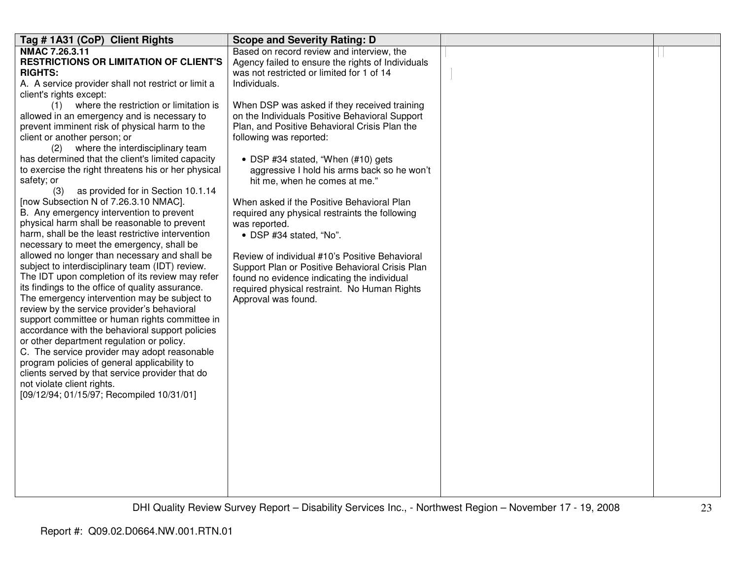| Tag # 1A31 (CoP) Client Rights                                                                  | <b>Scope and Severity Rating: D</b>               |  |
|-------------------------------------------------------------------------------------------------|---------------------------------------------------|--|
| NMAC 7.26.3.11                                                                                  | Based on record review and interview, the         |  |
| <b>RESTRICTIONS OR LIMITATION OF CLIENT'S</b>                                                   | Agency failed to ensure the rights of Individuals |  |
| <b>RIGHTS:</b>                                                                                  | was not restricted or limited for 1 of 14         |  |
| A. A service provider shall not restrict or limit a                                             | Individuals.                                      |  |
| client's rights except:                                                                         |                                                   |  |
| (1) where the restriction or limitation is                                                      | When DSP was asked if they received training      |  |
| allowed in an emergency and is necessary to                                                     | on the Individuals Positive Behavioral Support    |  |
| prevent imminent risk of physical harm to the                                                   | Plan, and Positive Behavioral Crisis Plan the     |  |
| client or another person; or                                                                    | following was reported:                           |  |
| (2) where the interdisciplinary team                                                            |                                                   |  |
| has determined that the client's limited capacity                                               | • DSP #34 stated, "When $(#10)$ gets              |  |
| to exercise the right threatens his or her physical                                             | aggressive I hold his arms back so he won't       |  |
| safety; or                                                                                      | hit me, when he comes at me."                     |  |
| as provided for in Section 10.1.14<br>(3)                                                       |                                                   |  |
| [now Subsection N of 7.26.3.10 NMAC].                                                           | When asked if the Positive Behavioral Plan        |  |
| B. Any emergency intervention to prevent                                                        | required any physical restraints the following    |  |
| physical harm shall be reasonable to prevent                                                    | was reported.                                     |  |
| harm, shall be the least restrictive intervention                                               | • DSP #34 stated, "No".                           |  |
| necessary to meet the emergency, shall be                                                       |                                                   |  |
| allowed no longer than necessary and shall be                                                   | Review of individual #10's Positive Behavioral    |  |
| subject to interdisciplinary team (IDT) review.                                                 | Support Plan or Positive Behavioral Crisis Plan   |  |
| The IDT upon completion of its review may refer                                                 | found no evidence indicating the individual       |  |
| its findings to the office of quality assurance.                                                | required physical restraint. No Human Rights      |  |
| The emergency intervention may be subject to                                                    | Approval was found.                               |  |
| review by the service provider's behavioral                                                     |                                                   |  |
| support committee or human rights committee in                                                  |                                                   |  |
| accordance with the behavioral support policies                                                 |                                                   |  |
| or other department regulation or policy.                                                       |                                                   |  |
| C. The service provider may adopt reasonable                                                    |                                                   |  |
| program policies of general applicability to<br>clients served by that service provider that do |                                                   |  |
| not violate client rights.                                                                      |                                                   |  |
| [09/12/94; 01/15/97; Recompiled 10/31/01]                                                       |                                                   |  |
|                                                                                                 |                                                   |  |
|                                                                                                 |                                                   |  |
|                                                                                                 |                                                   |  |
|                                                                                                 |                                                   |  |
|                                                                                                 |                                                   |  |
|                                                                                                 |                                                   |  |
|                                                                                                 |                                                   |  |
|                                                                                                 |                                                   |  |
|                                                                                                 |                                                   |  |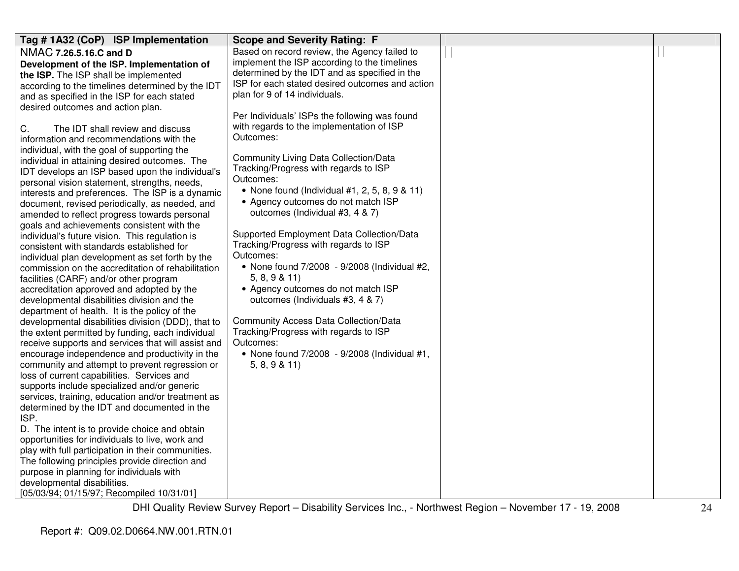| Tag #1A32 (CoP) ISP Implementation                 | <b>Scope and Severity Rating: F</b>               |  |
|----------------------------------------------------|---------------------------------------------------|--|
| NMAC 7.26.5.16.C and D                             | Based on record review, the Agency failed to      |  |
| Development of the ISP. Implementation of          | implement the ISP according to the timelines      |  |
| the ISP. The ISP shall be implemented              | determined by the IDT and as specified in the     |  |
| according to the timelines determined by the IDT   | ISP for each stated desired outcomes and action   |  |
| and as specified in the ISP for each stated        | plan for 9 of 14 individuals.                     |  |
| desired outcomes and action plan.                  |                                                   |  |
|                                                    | Per Individuals' ISPs the following was found     |  |
| C.<br>The IDT shall review and discuss             | with regards to the implementation of ISP         |  |
| information and recommendations with the           | Outcomes:                                         |  |
| individual, with the goal of supporting the        |                                                   |  |
| individual in attaining desired outcomes. The      | <b>Community Living Data Collection/Data</b>      |  |
| IDT develops an ISP based upon the individual's    | Tracking/Progress with regards to ISP             |  |
| personal vision statement, strengths, needs,       | Outcomes:                                         |  |
| interests and preferences. The ISP is a dynamic    | • None found (Individual $#1, 2, 5, 8, 9 \& 11$ ) |  |
| document, revised periodically, as needed, and     | • Agency outcomes do not match ISP                |  |
| amended to reflect progress towards personal       | outcomes (Individual #3, 4 & 7)                   |  |
| goals and achievements consistent with the         |                                                   |  |
| individual's future vision. This regulation is     | Supported Employment Data Collection/Data         |  |
| consistent with standards established for          | Tracking/Progress with regards to ISP             |  |
| individual plan development as set forth by the    | Outcomes:                                         |  |
| commission on the accreditation of rehabilitation  | • None found 7/2008 - 9/2008 (Individual #2,      |  |
| facilities (CARF) and/or other program             | 5, 8, 9 & 11                                      |  |
| accreditation approved and adopted by the          | • Agency outcomes do not match ISP                |  |
| developmental disabilities division and the        | outcomes (Individuals #3, 4 & 7)                  |  |
| department of health. It is the policy of the      |                                                   |  |
| developmental disabilities division (DDD), that to | <b>Community Access Data Collection/Data</b>      |  |
| the extent permitted by funding, each individual   | Tracking/Progress with regards to ISP             |  |
| receive supports and services that will assist and | Outcomes:                                         |  |
| encourage independence and productivity in the     | • None found 7/2008 - 9/2008 (Individual #1,      |  |
| community and attempt to prevent regression or     | 5, 8, 9 & 11                                      |  |
| loss of current capabilities. Services and         |                                                   |  |
| supports include specialized and/or generic        |                                                   |  |
| services, training, education and/or treatment as  |                                                   |  |
| determined by the IDT and documented in the        |                                                   |  |
| ISP.                                               |                                                   |  |
| D. The intent is to provide choice and obtain      |                                                   |  |
| opportunities for individuals to live, work and    |                                                   |  |
| play with full participation in their communities. |                                                   |  |
| The following principles provide direction and     |                                                   |  |
| purpose in planning for individuals with           |                                                   |  |
| developmental disabilities.                        |                                                   |  |
| [05/03/94; 01/15/97; Recompiled 10/31/01]          |                                                   |  |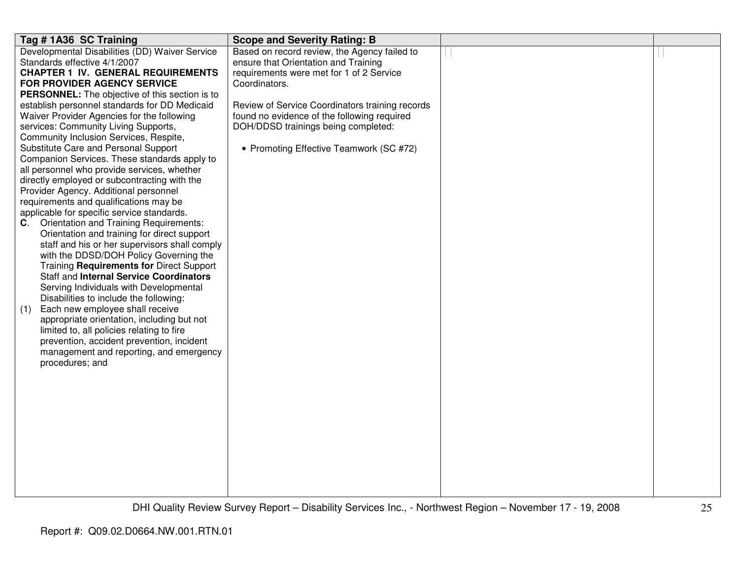| Tag # 1A36 SC Training                                                                       | <b>Scope and Severity Rating: B</b>             |  |
|----------------------------------------------------------------------------------------------|-------------------------------------------------|--|
| Developmental Disabilities (DD) Waiver Service                                               | Based on record review, the Agency failed to    |  |
| Standards effective 4/1/2007                                                                 | ensure that Orientation and Training            |  |
| <b>CHAPTER 1 IV. GENERAL REQUIREMENTS</b>                                                    | requirements were met for 1 of 2 Service        |  |
| FOR PROVIDER AGENCY SERVICE                                                                  | Coordinators.                                   |  |
| PERSONNEL: The objective of this section is to                                               |                                                 |  |
| establish personnel standards for DD Medicaid                                                | Review of Service Coordinators training records |  |
| Waiver Provider Agencies for the following                                                   | found no evidence of the following required     |  |
| services: Community Living Supports,                                                         | DOH/DDSD trainings being completed:             |  |
| Community Inclusion Services, Respite,                                                       |                                                 |  |
| Substitute Care and Personal Support                                                         | • Promoting Effective Teamwork (SC #72)         |  |
| Companion Services. These standards apply to                                                 |                                                 |  |
| all personnel who provide services, whether                                                  |                                                 |  |
| directly employed or subcontracting with the                                                 |                                                 |  |
| Provider Agency. Additional personnel                                                        |                                                 |  |
| requirements and qualifications may be                                                       |                                                 |  |
| applicable for specific service standards.                                                   |                                                 |  |
| <b>C.</b> Orientation and Training Requirements:                                             |                                                 |  |
| Orientation and training for direct support<br>staff and his or her supervisors shall comply |                                                 |  |
| with the DDSD/DOH Policy Governing the                                                       |                                                 |  |
| Training Requirements for Direct Support                                                     |                                                 |  |
| <b>Staff and Internal Service Coordinators</b>                                               |                                                 |  |
| Serving Individuals with Developmental                                                       |                                                 |  |
| Disabilities to include the following:                                                       |                                                 |  |
| Each new employee shall receive<br>(1)                                                       |                                                 |  |
| appropriate orientation, including but not                                                   |                                                 |  |
| limited to, all policies relating to fire                                                    |                                                 |  |
| prevention, accident prevention, incident                                                    |                                                 |  |
| management and reporting, and emergency                                                      |                                                 |  |
| procedures; and                                                                              |                                                 |  |
|                                                                                              |                                                 |  |
|                                                                                              |                                                 |  |
|                                                                                              |                                                 |  |
|                                                                                              |                                                 |  |
|                                                                                              |                                                 |  |
|                                                                                              |                                                 |  |
|                                                                                              |                                                 |  |
|                                                                                              |                                                 |  |
|                                                                                              |                                                 |  |
|                                                                                              |                                                 |  |
|                                                                                              |                                                 |  |
|                                                                                              |                                                 |  |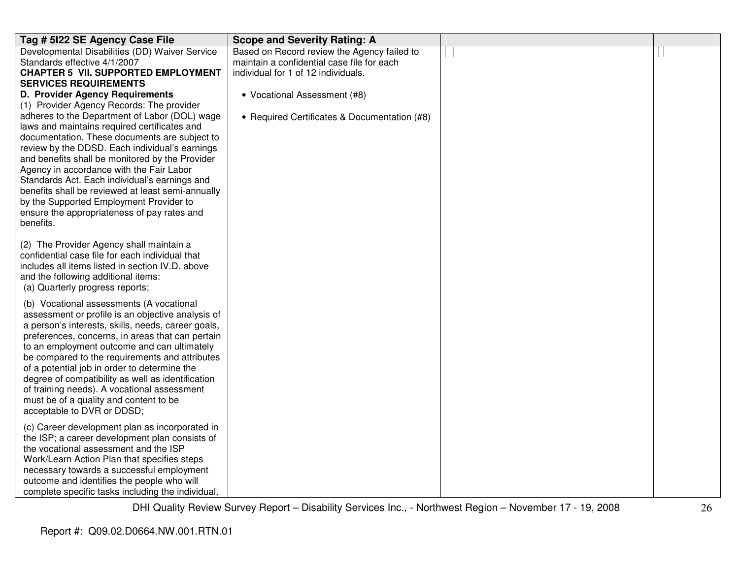| Tag # 5122 SE Agency Case File                                                              | <b>Scope and Severity Rating: A</b>          |  |
|---------------------------------------------------------------------------------------------|----------------------------------------------|--|
| Developmental Disabilities (DD) Waiver Service                                              | Based on Record review the Agency failed to  |  |
| Standards effective 4/1/2007                                                                | maintain a confidential case file for each   |  |
| <b>CHAPTER 5 VII. SUPPORTED EMPLOYMENT</b>                                                  | individual for 1 of 12 individuals.          |  |
| <b>SERVICES REQUIREMENTS</b>                                                                |                                              |  |
| <b>D. Provider Agency Requirements</b>                                                      | • Vocational Assessment (#8)                 |  |
| (1) Provider Agency Records: The provider                                                   |                                              |  |
| adheres to the Department of Labor (DOL) wage                                               | • Required Certificates & Documentation (#8) |  |
| laws and maintains required certificates and                                                |                                              |  |
| documentation. These documents are subject to                                               |                                              |  |
| review by the DDSD. Each individual's earnings                                              |                                              |  |
| and benefits shall be monitored by the Provider                                             |                                              |  |
| Agency in accordance with the Fair Labor                                                    |                                              |  |
| Standards Act. Each individual's earnings and                                               |                                              |  |
| benefits shall be reviewed at least semi-annually                                           |                                              |  |
| by the Supported Employment Provider to                                                     |                                              |  |
| ensure the appropriateness of pay rates and                                                 |                                              |  |
| benefits.                                                                                   |                                              |  |
|                                                                                             |                                              |  |
| (2) The Provider Agency shall maintain a<br>confidential case file for each individual that |                                              |  |
| includes all items listed in section IV.D. above                                            |                                              |  |
| and the following additional items:                                                         |                                              |  |
| (a) Quarterly progress reports;                                                             |                                              |  |
|                                                                                             |                                              |  |
| (b) Vocational assessments (A vocational                                                    |                                              |  |
| assessment or profile is an objective analysis of                                           |                                              |  |
| a person's interests, skills, needs, career goals,                                          |                                              |  |
| preferences, concerns, in areas that can pertain                                            |                                              |  |
| to an employment outcome and can ultimately                                                 |                                              |  |
| be compared to the requirements and attributes                                              |                                              |  |
| of a potential job in order to determine the                                                |                                              |  |
| degree of compatibility as well as identification                                           |                                              |  |
| of training needs). A vocational assessment                                                 |                                              |  |
| must be of a quality and content to be                                                      |                                              |  |
| acceptable to DVR or DDSD;                                                                  |                                              |  |
| (c) Career development plan as incorporated in                                              |                                              |  |
| the ISP; a career development plan consists of                                              |                                              |  |
| the vocational assessment and the ISP                                                       |                                              |  |
| Work/Learn Action Plan that specifies steps                                                 |                                              |  |
| necessary towards a successful employment                                                   |                                              |  |
| outcome and identifies the people who will                                                  |                                              |  |
| complete specific tasks including the individual,                                           |                                              |  |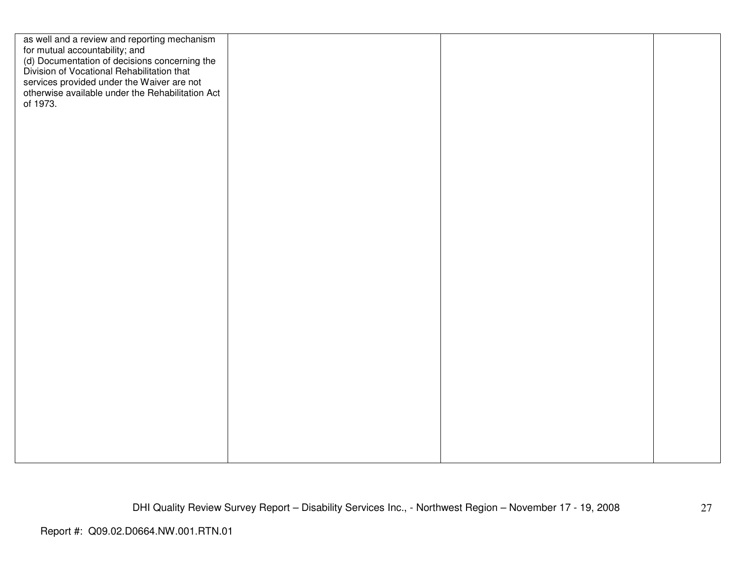| services provided under the Waiver are not<br>otherwise available under the Rehabilitation Act<br>of 1973. | as well and a review and reporting mechanism<br>for mutual accountability; and<br>(d) Documentation of decisions concerning the<br>Division of Vocational Rehabilitation that |  |  |
|------------------------------------------------------------------------------------------------------------|-------------------------------------------------------------------------------------------------------------------------------------------------------------------------------|--|--|
|                                                                                                            |                                                                                                                                                                               |  |  |
|                                                                                                            |                                                                                                                                                                               |  |  |
|                                                                                                            |                                                                                                                                                                               |  |  |
|                                                                                                            |                                                                                                                                                                               |  |  |
|                                                                                                            |                                                                                                                                                                               |  |  |
|                                                                                                            |                                                                                                                                                                               |  |  |
|                                                                                                            |                                                                                                                                                                               |  |  |
|                                                                                                            |                                                                                                                                                                               |  |  |
|                                                                                                            |                                                                                                                                                                               |  |  |
|                                                                                                            |                                                                                                                                                                               |  |  |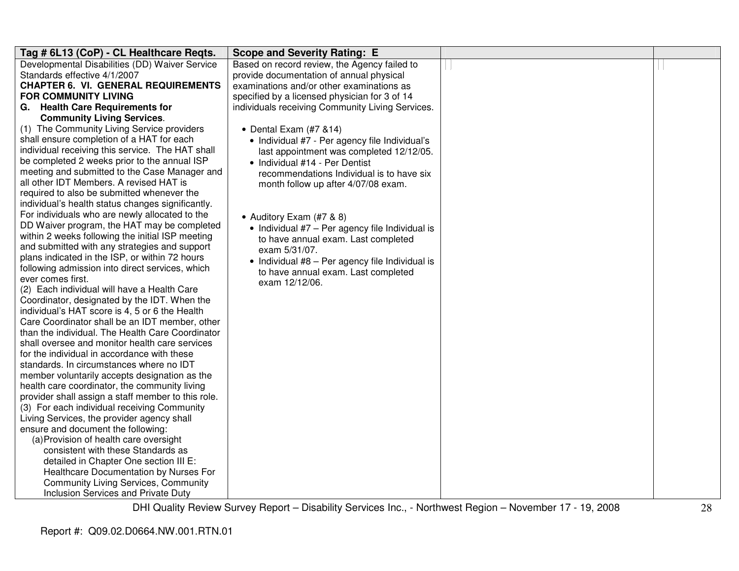| Tag # 6L13 (CoP) - CL Healthcare Regts.<br><b>Scope and Severity Rating: E</b>                      |  |
|-----------------------------------------------------------------------------------------------------|--|
| Developmental Disabilities (DD) Waiver Service<br>Based on record review, the Agency failed to      |  |
| Standards effective 4/1/2007<br>provide documentation of annual physical                            |  |
| <b>CHAPTER 6. VI. GENERAL REQUIREMENTS</b><br>examinations and/or other examinations as             |  |
| <b>FOR COMMUNITY LIVING</b><br>specified by a licensed physician for 3 of 14                        |  |
| G. Health Care Requirements for<br>individuals receiving Community Living Services.                 |  |
| <b>Community Living Services.</b>                                                                   |  |
| (1) The Community Living Service providers<br>• Dental Exam $(#7 814)$                              |  |
| shall ensure completion of a HAT for each<br>• Individual #7 - Per agency file Individual's         |  |
| individual receiving this service. The HAT shall<br>last appointment was completed 12/12/05.        |  |
| be completed 2 weeks prior to the annual ISP<br>• Individual #14 - Per Dentist                      |  |
| meeting and submitted to the Case Manager and<br>recommendations Individual is to have six          |  |
| all other IDT Members. A revised HAT is<br>month follow up after 4/07/08 exam.                      |  |
| required to also be submitted whenever the                                                          |  |
| individual's health status changes significantly.                                                   |  |
| For individuals who are newly allocated to the<br>• Auditory Exam (#7 & 8)                          |  |
| DD Waiver program, the HAT may be completed<br>• Individual #7 - Per agency file Individual is      |  |
| within 2 weeks following the initial ISP meeting<br>to have annual exam. Last completed             |  |
| and submitted with any strategies and support<br>exam 5/31/07.                                      |  |
| plans indicated in the ISP, or within 72 hours<br>• Individual #8 - Per agency file Individual is   |  |
| following admission into direct services, which<br>to have annual exam. Last completed              |  |
| ever comes first.<br>exam 12/12/06.                                                                 |  |
| (2) Each individual will have a Health Care                                                         |  |
| Coordinator, designated by the IDT. When the                                                        |  |
| individual's HAT score is 4, 5 or 6 the Health                                                      |  |
| Care Coordinator shall be an IDT member, other                                                      |  |
| than the individual. The Health Care Coordinator                                                    |  |
| shall oversee and monitor health care services                                                      |  |
| for the individual in accordance with these                                                         |  |
| standards. In circumstances where no IDT                                                            |  |
| member voluntarily accepts designation as the                                                       |  |
| health care coordinator, the community living<br>provider shall assign a staff member to this role. |  |
| (3) For each individual receiving Community                                                         |  |
| Living Services, the provider agency shall                                                          |  |
| ensure and document the following:                                                                  |  |
| (a) Provision of health care oversight                                                              |  |
| consistent with these Standards as                                                                  |  |
| detailed in Chapter One section III E:                                                              |  |
| Healthcare Documentation by Nurses For                                                              |  |
| <b>Community Living Services, Community</b>                                                         |  |
| Inclusion Services and Private Duty                                                                 |  |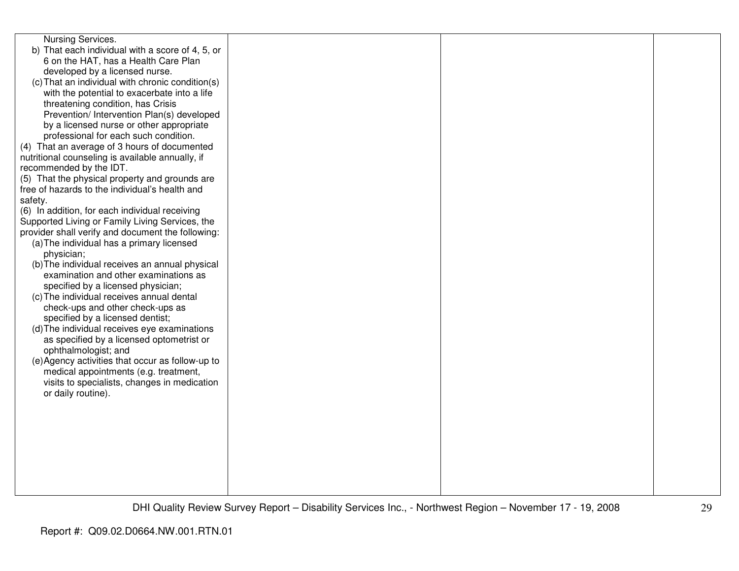| Nursing Services.                                                                         |  |  |
|-------------------------------------------------------------------------------------------|--|--|
| b) That each individual with a score of 4, 5, or                                          |  |  |
| 6 on the HAT, has a Health Care Plan                                                      |  |  |
| developed by a licensed nurse.                                                            |  |  |
| (c) That an individual with chronic condition(s)                                          |  |  |
| with the potential to exacerbate into a life                                              |  |  |
| threatening condition, has Crisis                                                         |  |  |
| Prevention/ Intervention Plan(s) developed                                                |  |  |
| by a licensed nurse or other appropriate                                                  |  |  |
| professional for each such condition.                                                     |  |  |
| (4) That an average of 3 hours of documented                                              |  |  |
| nutritional counseling is available annually, if                                          |  |  |
| recommended by the IDT.                                                                   |  |  |
| (5) That the physical property and grounds are                                            |  |  |
| free of hazards to the individual's health and                                            |  |  |
| safety.                                                                                   |  |  |
| (6) In addition, for each individual receiving                                            |  |  |
| Supported Living or Family Living Services, the                                           |  |  |
| provider shall verify and document the following:                                         |  |  |
| (a) The individual has a primary licensed                                                 |  |  |
| physician;                                                                                |  |  |
| (b) The individual receives an annual physical                                            |  |  |
| examination and other examinations as                                                     |  |  |
| specified by a licensed physician;                                                        |  |  |
| (c) The individual receives annual dental                                                 |  |  |
| check-ups and other check-ups as<br>specified by a licensed dentist;                      |  |  |
|                                                                                           |  |  |
| (d) The individual receives eye examinations<br>as specified by a licensed optometrist or |  |  |
| ophthalmologist; and                                                                      |  |  |
| (e) Agency activities that occur as follow-up to                                          |  |  |
| medical appointments (e.g. treatment,                                                     |  |  |
| visits to specialists, changes in medication                                              |  |  |
| or daily routine).                                                                        |  |  |
|                                                                                           |  |  |
|                                                                                           |  |  |
|                                                                                           |  |  |
|                                                                                           |  |  |
|                                                                                           |  |  |
|                                                                                           |  |  |
|                                                                                           |  |  |
|                                                                                           |  |  |
|                                                                                           |  |  |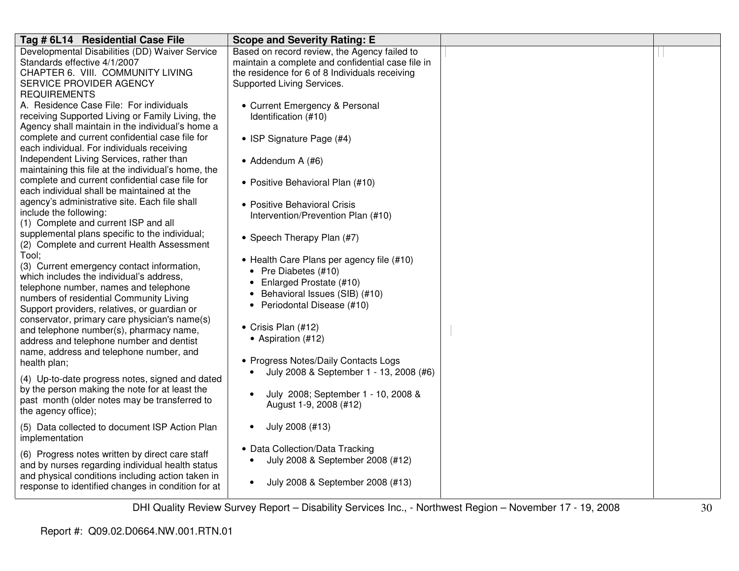| Tag # 6L14 Residential Case File                                                                  | <b>Scope and Severity Rating: E</b>                                                               |  |
|---------------------------------------------------------------------------------------------------|---------------------------------------------------------------------------------------------------|--|
| Developmental Disabilities (DD) Waiver Service<br>Standards effective 4/1/2007                    | Based on record review, the Agency failed to<br>maintain a complete and confidential case file in |  |
| CHAPTER 6. VIII. COMMUNITY LIVING                                                                 | the residence for 6 of 8 Individuals receiving                                                    |  |
| SERVICE PROVIDER AGENCY                                                                           | Supported Living Services.                                                                        |  |
| <b>REQUIREMENTS</b>                                                                               |                                                                                                   |  |
| A. Residence Case File: For individuals                                                           | • Current Emergency & Personal                                                                    |  |
| receiving Supported Living or Family Living, the                                                  | Identification (#10)                                                                              |  |
| Agency shall maintain in the individual's home a                                                  |                                                                                                   |  |
| complete and current confidential case file for                                                   | • ISP Signature Page (#4)                                                                         |  |
| each individual. For individuals receiving                                                        |                                                                                                   |  |
| Independent Living Services, rather than<br>maintaining this file at the individual's home, the   | $\bullet$ Addendum A (#6)                                                                         |  |
| complete and current confidential case file for                                                   |                                                                                                   |  |
| each individual shall be maintained at the                                                        | • Positive Behavioral Plan (#10)                                                                  |  |
| agency's administrative site. Each file shall                                                     | • Positive Behavioral Crisis                                                                      |  |
| include the following:                                                                            | Intervention/Prevention Plan (#10)                                                                |  |
| (1) Complete and current ISP and all                                                              |                                                                                                   |  |
| supplemental plans specific to the individual;<br>(2) Complete and current Health Assessment      | • Speech Therapy Plan (#7)                                                                        |  |
| Tool:                                                                                             |                                                                                                   |  |
| (3) Current emergency contact information,                                                        | • Health Care Plans per agency file (#10)                                                         |  |
| which includes the individual's address,                                                          | • Pre Diabetes (#10)                                                                              |  |
| telephone number, names and telephone                                                             | • Enlarged Prostate (#10)                                                                         |  |
| numbers of residential Community Living                                                           | • Behavioral Issues (SIB) (#10)<br>• Periodontal Disease (#10)                                    |  |
| Support providers, relatives, or guardian or                                                      |                                                                                                   |  |
| conservator, primary care physician's name(s)                                                     | • Crisis Plan (#12)                                                                               |  |
| and telephone number(s), pharmacy name,<br>address and telephone number and dentist               | • Aspiration (#12)                                                                                |  |
| name, address and telephone number, and                                                           |                                                                                                   |  |
| health plan;                                                                                      | • Progress Notes/Daily Contacts Logs                                                              |  |
|                                                                                                   | July 2008 & September 1 - 13, 2008 (#6)                                                           |  |
| (4) Up-to-date progress notes, signed and dated<br>by the person making the note for at least the |                                                                                                   |  |
| past month (older notes may be transferred to                                                     | July 2008; September 1 - 10, 2008 &                                                               |  |
| the agency office);                                                                               | August 1-9, 2008 (#12)                                                                            |  |
| (5) Data collected to document ISP Action Plan                                                    | July 2008 (#13)                                                                                   |  |
| implementation                                                                                    |                                                                                                   |  |
| (6) Progress notes written by direct care staff                                                   | • Data Collection/Data Tracking                                                                   |  |
| and by nurses regarding individual health status                                                  | July 2008 & September 2008 (#12)<br>$\bullet$                                                     |  |
| and physical conditions including action taken in                                                 |                                                                                                   |  |
| response to identified changes in condition for at                                                | July 2008 & September 2008 (#13)<br>$\bullet$                                                     |  |
|                                                                                                   |                                                                                                   |  |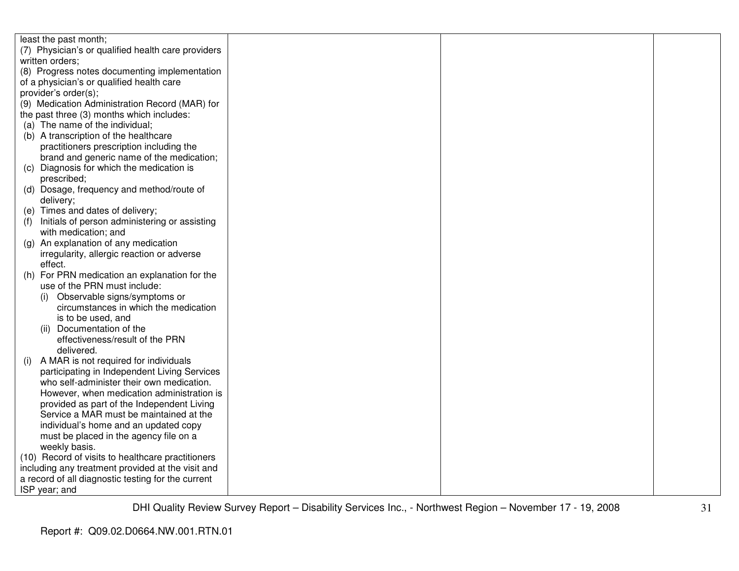| least the past month;                                |  |  |
|------------------------------------------------------|--|--|
| (7) Physician's or qualified health care providers   |  |  |
| written orders;                                      |  |  |
| (8) Progress notes documenting implementation        |  |  |
| of a physician's or qualified health care            |  |  |
| provider's order(s);                                 |  |  |
| (9) Medication Administration Record (MAR) for       |  |  |
| the past three (3) months which includes:            |  |  |
| (a) The name of the individual;                      |  |  |
| (b) A transcription of the healthcare                |  |  |
| practitioners prescription including the             |  |  |
| brand and generic name of the medication;            |  |  |
| (c) Diagnosis for which the medication is            |  |  |
| prescribed;                                          |  |  |
| (d) Dosage, frequency and method/route of            |  |  |
| delivery;                                            |  |  |
| (e) Times and dates of delivery;                     |  |  |
| Initials of person administering or assisting<br>(1) |  |  |
| with medication; and                                 |  |  |
| (g) An explanation of any medication                 |  |  |
| irregularity, allergic reaction or adverse           |  |  |
| effect.                                              |  |  |
| For PRN medication an explanation for the<br>(h)     |  |  |
| use of the PRN must include:                         |  |  |
| Observable signs/symptoms or<br>(i)                  |  |  |
| circumstances in which the medication                |  |  |
| is to be used, and                                   |  |  |
| Documentation of the<br>(ii)                         |  |  |
| effectiveness/result of the PRN                      |  |  |
| delivered.                                           |  |  |
| A MAR is not required for individuals<br>(i)         |  |  |
| participating in Independent Living Services         |  |  |
| who self-administer their own medication.            |  |  |
| However, when medication administration is           |  |  |
| provided as part of the Independent Living           |  |  |
| Service a MAR must be maintained at the              |  |  |
| individual's home and an updated copy                |  |  |
| must be placed in the agency file on a               |  |  |
| weekly basis.                                        |  |  |
| (10) Record of visits to healthcare practitioners    |  |  |
| including any treatment provided at the visit and    |  |  |
| a record of all diagnostic testing for the current   |  |  |
| ISP year; and                                        |  |  |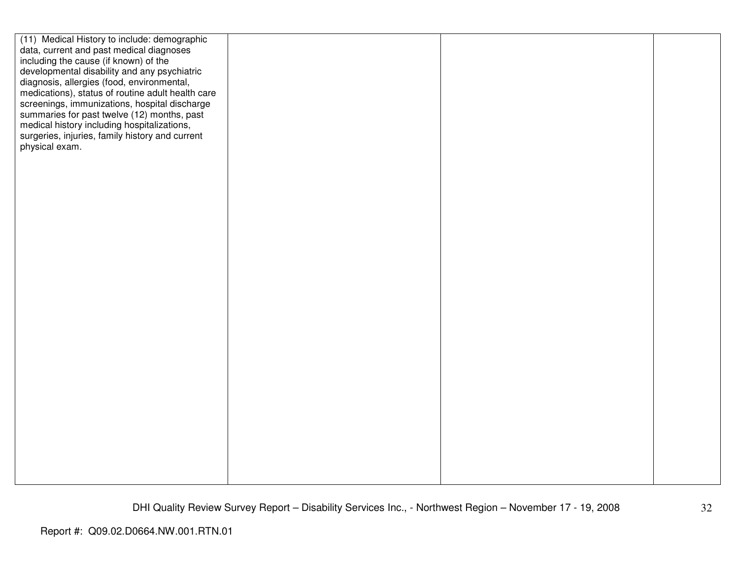| (11) Medical History to include: demographic      |  |  |
|---------------------------------------------------|--|--|
| data, current and past medical diagnoses          |  |  |
| including the cause (if known) of the             |  |  |
| developmental disability and any psychiatric      |  |  |
| diagnosis, allergies (food, environmental,        |  |  |
| medications), status of routine adult health care |  |  |
| screenings, immunizations, hospital discharge     |  |  |
| summaries for past twelve (12) months, past       |  |  |
| medical history including hospitalizations,       |  |  |
| surgeries, injuries, family history and current   |  |  |
| physical exam.                                    |  |  |
|                                                   |  |  |
|                                                   |  |  |
|                                                   |  |  |
|                                                   |  |  |
|                                                   |  |  |
|                                                   |  |  |
|                                                   |  |  |
|                                                   |  |  |
|                                                   |  |  |
|                                                   |  |  |
|                                                   |  |  |
|                                                   |  |  |
|                                                   |  |  |
|                                                   |  |  |
|                                                   |  |  |
|                                                   |  |  |
|                                                   |  |  |
|                                                   |  |  |
|                                                   |  |  |
|                                                   |  |  |
|                                                   |  |  |
|                                                   |  |  |
|                                                   |  |  |
|                                                   |  |  |
|                                                   |  |  |
|                                                   |  |  |
|                                                   |  |  |
|                                                   |  |  |
|                                                   |  |  |
|                                                   |  |  |
|                                                   |  |  |
|                                                   |  |  |